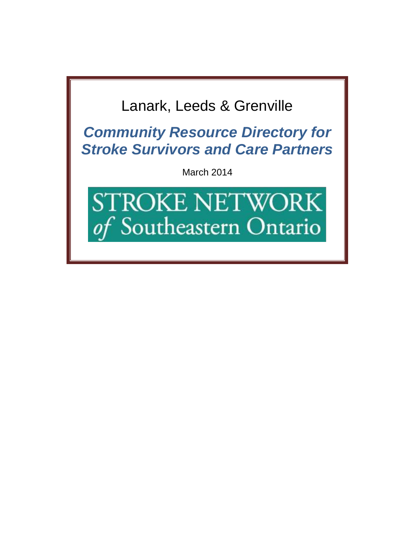# Lanark, Leeds & Grenville

*Community Resource Directory for Stroke Survivors and Care Partners*

March 2014

**STROKE NETWORK** of Southeastern Ontario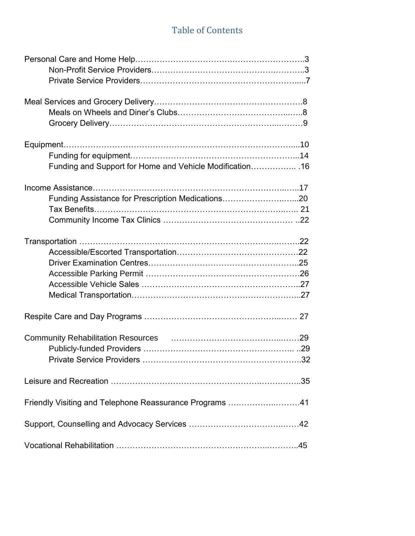### Table of Contents

| Funding and Support for Home and Vehicle Modification 16 |  |
|----------------------------------------------------------|--|
|                                                          |  |
| Funding Assistance for Prescription Medications20        |  |
|                                                          |  |
|                                                          |  |
|                                                          |  |
|                                                          |  |
|                                                          |  |
|                                                          |  |
|                                                          |  |
|                                                          |  |
|                                                          |  |
|                                                          |  |
|                                                          |  |
|                                                          |  |
|                                                          |  |
| Friendly Visiting and Telephone Reassurance Programs 41  |  |
|                                                          |  |
|                                                          |  |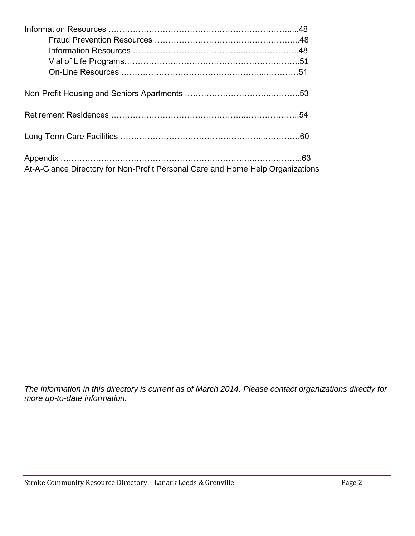| At-A-Glance Directory for Non-Profit Personal Care and Home Help Organizations |  |
|--------------------------------------------------------------------------------|--|

*The information in this directory is current as of March 2014. Please contact organizations directly for more up-to-date information.*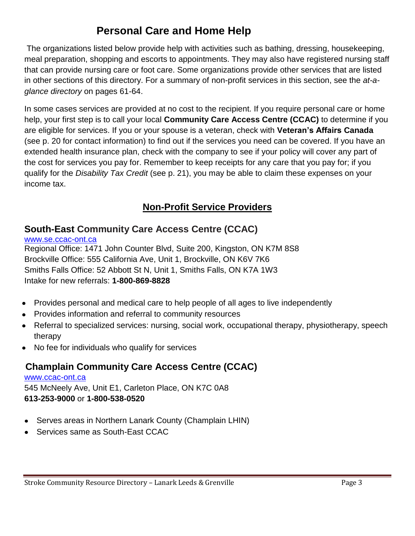# **Personal Care and Home Help**

The organizations listed below provide help with activities such as bathing, dressing, housekeeping, meal preparation, shopping and escorts to appointments. They may also have registered nursing staff that can provide nursing care or foot care. Some organizations provide other services that are listed in other sections of this directory. For a summary of non-profit services in this section, see the *at-aglance directory* on pages 61-64.

In some cases services are provided at no cost to the recipient. If you require personal care or home help, your first step is to call your local **Community Care Access Centre (CCAC)** to determine if you are eligible for services. If you or your spouse is a veteran, check with **Veteran's Affairs Canada** (see p. 20 for contact information) to find out if the services you need can be covered. If you have an extended health insurance plan, check with the company to see if your policy will cover any part of the cost for services you pay for. Remember to keep receipts for any care that you pay for; if you qualify for the *Disability Tax Credit* (see p. 21), you may be able to claim these expenses on your income tax.

### **Non-Profit Service Providers**

### **South-East Community Care Access Centre (CCAC)**

[www.se.ccac-ont.ca](http://www.se.ccac-ont.ca/) Regional Office: 1471 John Counter Blvd, Suite 200, Kingston, ON K7M 8S8 Brockville Office: 555 California Ave, Unit 1, Brockville, ON K6V 7K6 Smiths Falls Office: 52 Abbott St N, Unit 1, Smiths Falls, ON K7A 1W3 Intake for new referrals: **1-800-869-8828**

- Provides personal and medical care to help people of all ages to live independently
- Provides information and referral to community resources
- Referral to specialized services: nursing, social work, occupational therapy, physiotherapy, speech therapy
- No fee for individuals who qualify for services

### **Champlain Community Care Access Centre (CCAC)**

[www.ccac-ont.ca](http://www.ccac-ont.ca/) 545 McNeely Ave, Unit E1, Carleton Place, ON K7C 0A8 **613-253-9000** or **1-800-538-0520**

- Serves areas in Northern Lanark County (Champlain LHIN)
- Services same as South-East CCAC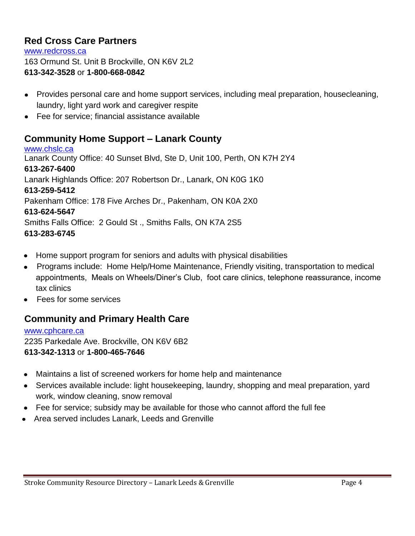### **Red Cross Care Partners**

[www.redcross.ca](http://www.redcross.ca/) 163 Ormund St. Unit B Brockville, ON K6V 2L2 **613-342-3528** or **1-800-668-0842**

- Provides personal care and home support services, including meal preparation, housecleaning, laundry, light yard work and caregiver respite
- Fee for service; financial assistance available

### **Community Home Support – Lanark County**

[www.chslc.ca](http://www.chslc.ca/) Lanark County Office: 40 Sunset Blvd, Ste D, Unit 100, Perth, ON K7H 2Y4 **613-267-6400** Lanark Highlands Office: 207 Robertson Dr., Lanark, ON K0G 1K0 **613-259-5412** Pakenham Office: 178 Five Arches Dr., Pakenham, ON K0A 2X0 **613-624-5647** Smiths Falls Office: 2 Gould St ., Smiths Falls, ON K7A 2S5 **613-283-6745**

- Home support program for seniors and adults with physical disabilities
- Programs include: Home Help/Home Maintenance, Friendly visiting, transportation to medical appointments, Meals on Wheels/Diner's Club, foot care clinics, telephone reassurance, income tax clinics
- Fees for some services

### **Community and Primary Health Care**

[www.cphcare.ca](http://www.cphcare.ca/) 2235 Parkedale Ave. Brockville, ON K6V 6B2 **613-342-1313** or **1-800-465-7646**

- Maintains a list of screened workers for home help and maintenance
- Services available include: light housekeeping, laundry, shopping and meal preparation, yard work, window cleaning, snow removal
- Fee for service; subsidy may be available for those who cannot afford the full fee
- Area served includes Lanark, Leeds and Grenville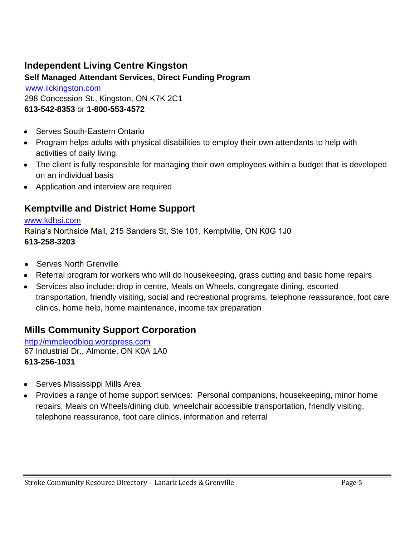### **Independent Living Centre Kingston**

### **Self Managed Attendant Services, Direct Funding Program**

[www.ilckingston.com](http://www.ilckingston.com/) 298 Concession St., Kingston, ON K7K 2C1 **613-542-8353** or **1-800-553-4572**

- Serves South-Eastern Ontario
- Program helps adults with physical disabilities to employ their own attendants to help with activities of daily living.
- The client is fully responsible for managing their own employees within a budget that is developed on an individual basis
- Application and interview are required

### **Kemptville and District Home Support**

#### [www.kdhsi.com](http://www.kdhsi.com/)

Raina's Northside Mall, 215 Sanders St, Ste 101, Kemptville, ON K0G 1J0 **613-258-3203**

- Serves North Grenville
- Referral program for workers who will do housekeeping, grass cutting and basic home repairs
- Services also include: drop in centre, Meals on Wheels, congregate dining, escorted transportation, friendly visiting, social and recreational programs, telephone reassurance, foot care clinics, home help, home maintenance, income tax preparation

### **Mills Community Support Corporation**

[http://mmcleodblog.wordpress.com](http://mmcleodblog.wordpress.com/) 67 Industrial Dr., Almonte, ON K0A 1A0 **613-256-1031**

- Serves Mississippi Mills Area
- Provides a range of home support services: Personal companions, housekeeping, minor home repairs, Meals on Wheels/dining club, wheelchair accessible transportation, friendly visiting, telephone reassurance, foot care clinics, information and referral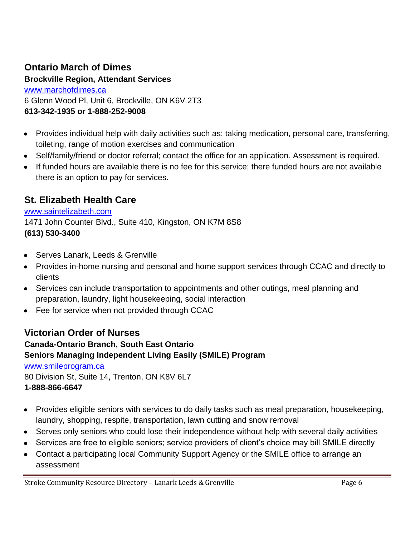### **Ontario March of Dimes**

**Brockville Region, Attendant Services** [www.marchofdimes.ca](http://www.marchofdimes.ca/) 6 Glenn Wood Pl, Unit 6, Brockville, ON K6V 2T3 **613-342-1935 or 1-888-252-9008**

- Provides individual help with daily activities such as: taking medication, personal care, transferring,  $\bullet$ toileting, range of motion exercises and communication
- Self/family/friend or doctor referral; contact the office for an application. Assessment is required.
- If funded hours are available there is no fee for this service; there funded hours are not available there is an option to pay for services.

### **St. Elizabeth Health Care**

#### [www.saintelizabeth.com](http://www.saintelizabeth.com/)

1471 John Counter Blvd., Suite 410, Kingston, ON K7M 8S8

#### **(613) 530-3400**

- Serves Lanark, Leeds & Grenville
- Provides in-home nursing and personal and home support services through CCAC and directly to clients
- Services can include transportation to appointments and other outings, meal planning and preparation, laundry, light housekeeping, social interaction
- Fee for service when not provided through CCAC

### **Victorian Order of Nurses Canada-Ontario Branch, South East Ontario Seniors Managing Independent Living Easily (SMILE) Program**

### [www.smileprogram.ca](http://www.smileprogram.ca/)

80 Division St, Suite 14, Trenton, ON K8V 6L7 **1-888-866-6647**

- Provides eligible seniors with services to do daily tasks such as meal preparation, housekeeping, laundry, shopping, respite, transportation, lawn cutting and snow removal
- Serves only seniors who could lose their independence without help with several daily activities
- Services are free to eligible seniors; service providers of client's choice may bill SMILE directly
- Contact a participating local Community Support Agency or the SMILE office to arrange an assessment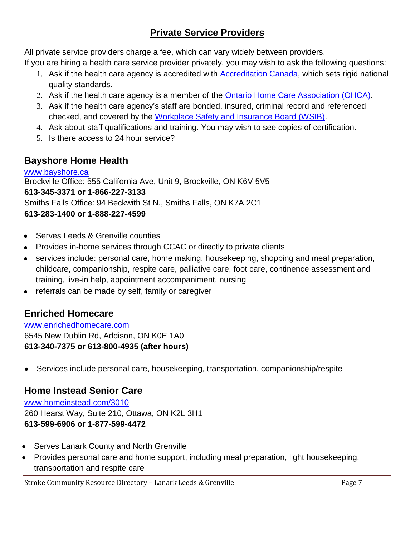### **Private Service Providers**

All private service providers charge a fee, which can vary widely between providers.

If you are hiring a health care service provider privately, you may wish to ask the following questions:

- 1. Ask if the health care agency is accredited with **Accreditation Canada**, which sets rigid national quality standards.
- 2. Ask if the health care agency is a member of the **Ontario Home Care Association (OHCA)**.
- 3. Ask if the health care agency's staff are bonded, insured, criminal record and referenced checked, and covered by the [Workplace Safety and Insurance Board \(WSIB\).](http://www.wsib.on.ca/)
- 4. Ask about staff qualifications and training. You may wish to see copies of certification.
- 5. Is there access to 24 hour service?

### **Bayshore Home Health**

[www.bayshore.ca](http://www.bayshore.ca/) Brockville Office: 555 California Ave, Unit 9, Brockville, ON K6V 5V5 **613-345-3371 or 1-866-227-3133** Smiths Falls Office: 94 Beckwith St N., Smiths Falls, ON K7A 2C1 **613-283-1400 or 1-888-227-4599** 

- Serves Leeds & Grenville counties
- Provides in-home services through CCAC or directly to private clients
- services include: personal care, home making, housekeeping, shopping and meal preparation, childcare, companionship, respite care, palliative care, foot care, continence assessment and training, live-in help, appointment accompaniment, nursing
- referrals can be made by self, family or caregiver  $\bullet$

### **Enriched Homecare**

[www.enrichedhomecare.com](http://www.enrichedhomecare.com/) 6545 New Dublin Rd, Addison, ON K0E 1A0 **613-340-7375 or 613-800-4935 (after hours)**

Services include personal care, housekeeping, transportation, companionship/respite  $\bullet$ 

### **Home Instead Senior Care**

[www.homeinstead.com/3010](http://www.homeinstead.com/3010) 260 Hearst Way, Suite 210, Ottawa, ON K2L 3H1 **613-599-6906 or 1-877-599-4472**

- Serves Lanark County and North Grenville
- Provides personal care and home support, including meal preparation, light housekeeping, transportation and respite care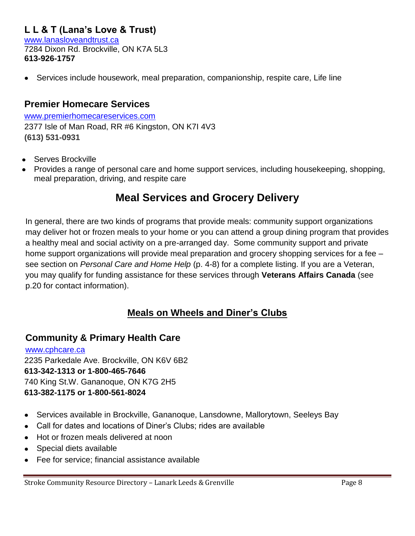### **L L & T (Lana's Love & Trust)**

[www.lanasloveandtrust.ca](http://www.lanasloveandtrust.ca/) 7284 Dixon Rd. Brockville, ON K7A 5L3 **613-926-1757**

Services include housework, meal preparation, companionship, respite care, Life line  $\bullet$ 

#### **Premier Homecare Services**

[www.premierhomecareservices.com](http://www.premierhomecareservices.com/) 2377 Isle of Man Road, RR #6 Kingston, ON K7I 4V3 **(613) 531-0931** 

- Serves Brockville
- Provides a range of personal care and home support services, including housekeeping, shopping, meal preparation, driving, and respite care

### **Meal Services and Grocery Delivery**

In general, there are two kinds of programs that provide meals: community support organizations may deliver hot or frozen meals to your home or you can attend a group dining program that provides a healthy meal and social activity on a pre-arranged day. Some community support and private home support organizations will provide meal preparation and grocery shopping services for a fee – see section on *Personal Care and Home Help* (p. 4-8) for a complete listing. If you are a Veteran, you may qualify for funding assistance for these services through **Veterans Affairs Canada** (see p.20 for contact information).

### **Meals on Wheels and Diner's Clubs**

#### **Community & Primary Health Care**

[www.cphcare.ca](http://www.cphcare.ca/) 2235 Parkedale Ave. Brockville, ON K6V 6B2 **613-342-1313 or 1-800-465-7646** 740 King St.W. Gananoque, ON K7G 2H5 **613-382-1175 or 1-800-561-8024**

- Services available in Brockville, Gananoque, Lansdowne, Mallorytown, Seeleys Bay  $\bullet$
- Call for dates and locations of Diner's Clubs; rides are available  $\bullet$
- Hot or frozen meals delivered at noon
- Special diets available  $\bullet$
- Fee for service; financial assistance available  $\bullet$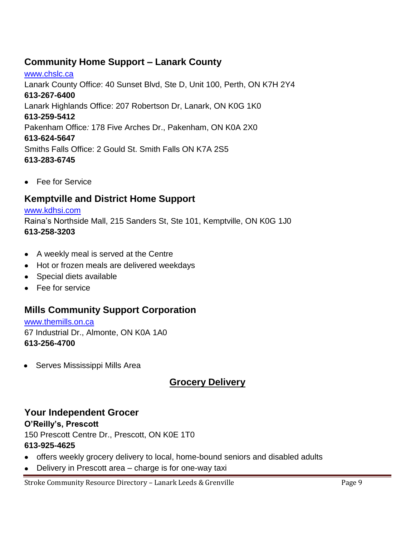### **Community Home Support – Lanark County**

[www.chslc.ca](http://www.chslc.ca/) Lanark County Offic*e*: 40 Sunset Blvd, Ste D, Unit 100, Perth, ON K7H 2Y4 **613-267-6400** Lanark Highlands Office: 207 Robertson Dr, Lanark, ON K0G 1K0 **613-259-5412** Pakenham Office*:* 178 Five Arches Dr., Pakenham, ON K0A 2X0 **613-624-5647** Smiths Falls Office: 2 Gould St. Smith Falls ON K7A 2S5 **613-283-6745**

Fee for Service

### **Kemptville and District Home Support**

# [www.kdhsi.com](http://www.kdhsi.com/)

Raina's Northside Mall, 215 Sanders St, Ste 101, Kemptville, ON K0G 1J0 **613-258-3203**

- A weekly meal is served at the Centre
- Hot or frozen meals are delivered weekdays
- Special diets available
- Fee for service

### **Mills Community Support Corporation**

[www.themills.on.ca](http://www.themills.on.ca/) 67 Industrial Dr., Almonte, ON K0A 1A0 **613-256-4700**

Serves Mississippi Mills Area

### **Grocery Delivery**

#### **Your Independent Grocer**

#### **O'Reilly's, Prescott**

150 Prescott Centre Dr., Prescott, ON K0E 1T0

#### **613-925-4625**

- offers weekly grocery delivery to local, home-bound seniors and disabled adults
- $\bullet$ Delivery in Prescott area – charge is for one-way taxi

Stroke Community Resource Directory - Lanark Leeds & Grenville Page 9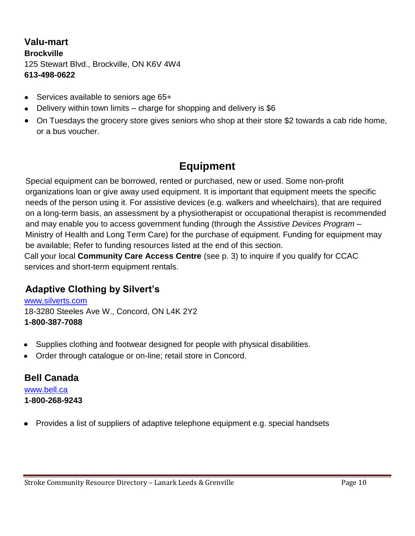**Valu-mart Brockville** 125 Stewart Blvd., Brockville, ON K6V 4W4 **613-498-0622**

- Services available to seniors age 65+
- Delivery within town limits charge for shopping and delivery is \$6
- On Tuesdays the grocery store gives seniors who shop at their store \$2 towards a cab ride home, or a bus voucher.

# **Equipment**

Special equipment can be borrowed, rented or purchased, new or used. Some non-profit organizations loan or give away used equipment. It is important that equipment meets the specific needs of the person using it. For assistive devices (e.g. walkers and wheelchairs), that are required on a long-term basis, an assessment by a physiotherapist or occupational therapist is recommended and may enable you to access government funding (through the *Assistive Devices Program* – Ministry of Health and Long Term Care) for the purchase of equipment. Funding for equipment may be available; Refer to funding resources listed at the end of this section. Call your local **Community Care Access Centre** (see p. 3) to inquire if you qualify for CCAC services and short-term equipment rentals.

### **Adaptive Clothing by Silvert's**

[www.silverts.com](http://www.silverts.com/) 18-3280 Steeles Ave W., Concord, ON L4K 2Y2 **1-800-387-7088**

- Supplies clothing and footwear designed for people with physical disabilities.  $\bullet$
- Order through catalogue or on-line; retail store in Concord.

# **Bell Canada**

[www.bell.ca](http://www.bell.ca/) **1-800-268-9243**

Provides a list of suppliers of adaptive telephone equipment e.g. special handsets $\bullet$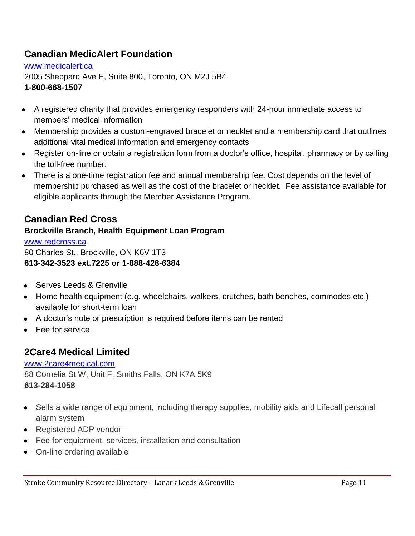### **Canadian MedicAlert Foundation**

[www.medicalert.ca](http://www.medicalert.ca/) 2005 Sheppard Ave E, Suite 800, Toronto, ON M2J 5B4 **1-800-668-1507** 

- A registered charity that provides emergency responders with 24-hour immediate access to members' medical information
- Membership provides a custom-engraved bracelet or necklet and a membership card that outlines additional vital medical information and emergency contacts
- Register on-line or obtain a registration form from a doctor's office, hospital, pharmacy or by calling the toll-free number.
- There is a one-time registration fee and annual membership fee. Cost depends on the level of membership purchased as well as the cost of the bracelet or necklet. Fee assistance available for eligible applicants through the Member Assistance Program.

### **Canadian Red Cross**

#### **Brockville Branch, Health Equipment Loan Program**

[www.redcross.ca](http://www.redcross.ca/) 80 Charles St., Brockville, ON K6V 1T3 **613-342-3523 ext.7225 or 1-888-428-6384**

- Serves Leeds & Grenville
- Home health equipment (e.g. wheelchairs, walkers, crutches, bath benches, commodes etc.) available for short-term loan
- A doctor's note or prescription is required before items can be rented
- Fee for service

### **2Care4 Medical Limited**

### [www.2care4medical.com](http://www.2care4medical.com/)

88 Cornelia St W, Unit F, Smiths Falls, ON K7A 5K9 **613-284-1058**

- Sells a wide range of equipment, including therapy supplies, mobility aids and Lifecall personal alarm system
- Registered ADP vendor
- Fee for equipment, services, installation and consultation
- On-line ordering available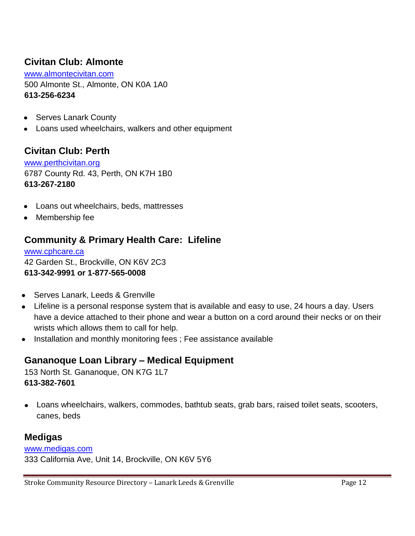### **Civitan Club: Almonte**

[www.almontecivitan.com](http://www.almontecivitan.com/) 500 Almonte St., Almonte, ON K0A 1A0 **613-256-6234**

- Serves Lanark County  $\bullet$
- Loans used wheelchairs, walkers and other equipment

#### **Civitan Club: Perth**

[www.perthcivitan.org](http://www.perthcivitan.org/) 6787 County Rd. 43, Perth, ON K7H 1B0 **613-267-2180**

- Loans out wheelchairs, beds, mattresses  $\bullet$
- Membership fee

### **Community & Primary Health Care: Lifeline**

[www.cphcare.ca](http://www.cphcare.ca/) 42 Garden St., Brockville, ON K6V 2C3 **613-342-9991 or 1-877-565-0008**

- Serves Lanark, Leeds & Grenville
- Lifeline is a personal response system that is available and easy to use, 24 hours a day. Users have a device attached to their phone and wear a button on a cord around their necks or on their wrists which allows them to call for help.
- Installation and monthly monitoring fees ; Fee assistance available

### **Gananoque Loan Library – Medical Equipment**

153 North St. Gananoque, ON K7G 1L7 **613-382-7601**

Loans wheelchairs, walkers, commodes, bathtub seats, grab bars, raised toilet seats, scooters,  $\bullet$ canes, beds

#### **Medigas**

#### [www.medigas.com](http://www.medigas.com/)

333 California Ave, Unit 14, Brockville, ON K6V 5Y6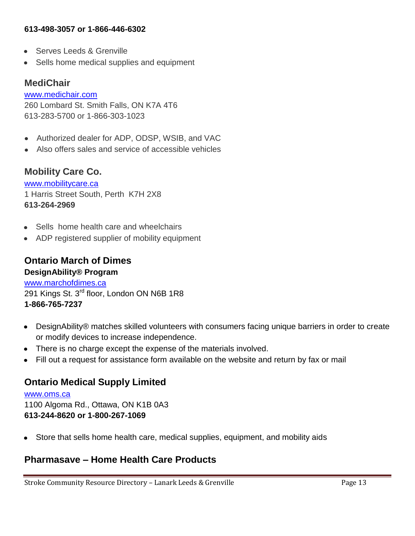#### **613-498-3057 or 1-866-446-6302**

- Serves Leeds & Grenville
- Sells home medical supplies and equipment

#### **MediChair**

[www.medichair.com](http://www.medichair.com/) 260 Lombard St. Smith Falls, ON K7A 4T6 613-283-5700 or 1-866-303-1023

- Authorized dealer for ADP, ODSP, WSIB, and VAC  $\bullet$
- Also offers sales and service of accessible vehicles

#### **Mobility Care Co.**

[www.mobilitycare.ca](http://www.mobilitycare.ca/) 1 Harris Street South, Perth K7H 2X8 **613-264-2969**

- Sells home health care and wheelchairs
- ADP registered supplier of mobility equipment

#### **Ontario March of Dimes DesignAbility® Program**

[www.marchofdimes.ca](http://www.marchofdimes.ca/) 291 Kings St. 3<sup>rd</sup> floor, London ON N6B 1R8 **1-866-765-7237**

- $\bullet$ DesignAbility® matches skilled volunteers with consumers facing unique barriers in order to create or modify devices to increase independence.
- There is no charge except the expense of the materials involved.  $\bullet$
- Fill out a request for assistance form available on the website and return by fax or mail

### **Ontario Medical Supply Limited**

[www.oms.ca](http://www.oms.ca/) 1100 Algoma Rd., Ottawa, ON K1B 0A3 **613-244-8620 or 1-800-267-1069**

Store that sells home health care, medical supplies, equipment, and mobility aids

### **Pharmasave – Home Health Care Products**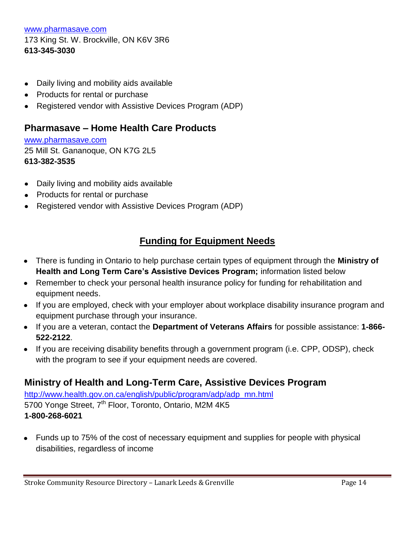[www.pharmasave.com](http://www.pharmasave.com/) 173 King St. W. Brockville, ON K6V 3R6 **613-345-3030**

- Daily living and mobility aids available  $\bullet$
- Products for rental or purchase
- Registered vendor with Assistive Devices Program (ADP)

#### **Pharmasave – Home Health Care Products**

[www.pharmasave.com](http://www.pharmasave.com/) 25 Mill St. Gananoque, ON K7G 2L5 **613-382-3535**

- Daily living and mobility aids available
- Products for rental or purchase
- Registered vendor with Assistive Devices Program (ADP)

### **Funding for Equipment Needs**

- There is funding in Ontario to help purchase certain types of equipment through the **Ministry of Health and Long Term Care's Assistive Devices Program;** information listed below
- Remember to check your personal health insurance policy for funding for rehabilitation and equipment needs.
- If you are employed, check with your employer about workplace disability insurance program and equipment purchase through your insurance.
- If you are a veteran, contact the **Department of Veterans Affairs** for possible assistance: **1-866- 522-2122**.
- If you are receiving disability benefits through a government program (i.e. CPP, ODSP), check with the program to see if your equipment needs are covered.

### **Ministry of Health and Long-Term Care, Assistive Devices Program**

[http://www.health.gov.on.ca/english/public/program/adp/adp\\_mn.html](http://www.health.gov.on.ca/english/public/program/adp/adp_mn.html) 5700 Yonge Street, 7<sup>th</sup> Floor, Toronto, Ontario, M2M 4K5 **1-800-268-6021**

Funds up to 75% of the cost of necessary equipment and supplies for people with physical disabilities, regardless of income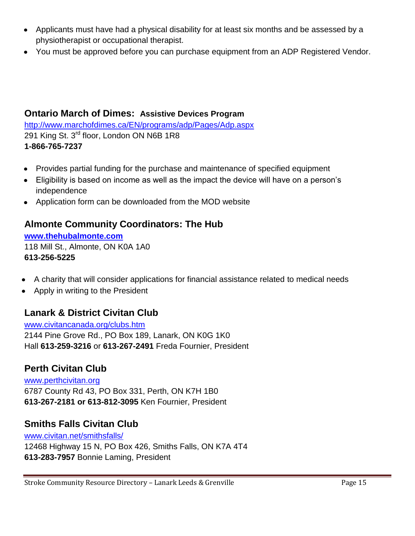- Applicants must have had a physical disability for at least six months and be assessed by a physiotherapist or occupational therapist.
- You must be approved before you can purchase equipment from an ADP Registered Vendor.

### **Ontario March of Dimes: Assistive Devices Program**

<http://www.marchofdimes.ca/EN/programs/adp/Pages/Adp.aspx> 291 King St. 3<sup>rd</sup> floor, London ON N6B 1R8 **1-866-765-7237**

- Provides partial funding for the purchase and maintenance of specified equipment  $\bullet$
- Eligibility is based on income as well as the impact the device will have on a person's independence
- Application form can be downloaded from the MOD website

### **Almonte Community Coordinators: The Hub**

**[www.thehubalmonte.com](http://www.thehubalmonte.com/)** 118 Mill St., Almonte, ON K0A 1A0 **613-256-5225**

- A charity that will consider applications for financial assistance related to medical needs
- Apply in writing to the President

### **Lanark & District Civitan Club**

[www.civitancanada.org/clubs.htm](http://www.civitancanada.org/clubs.htm) 2144 Pine Grove Rd., PO Box 189, Lanark, ON K0G 1K0 Hall **613-259-3216** or **613-267-2491** Freda Fournier, President

### **Perth Civitan Club**

[www.perthcivitan.org](http://www.perthcivitan.org/) 6787 County Rd 43, PO Box 331, Perth, ON K7H 1B0 **613-267-2181 or 613-812-3095** Ken Fournier, President

### **Smiths Falls Civitan Club**

[www.civitan.net/smithsfalls/](http://www.civitan.net/smithsfalls/) 12468 Highway 15 N, PO Box 426, Smiths Falls, ON K7A 4T4 **613-283-7957** Bonnie Laming, President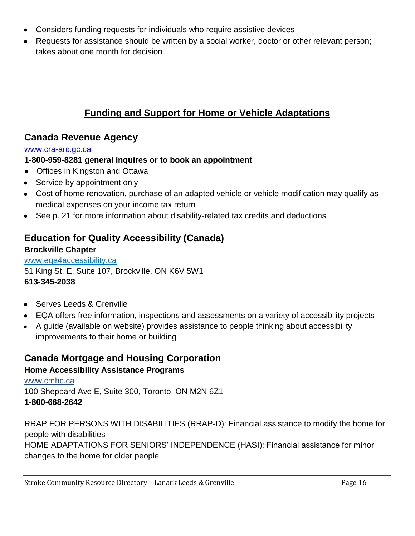- Considers funding requests for individuals who require assistive devices
- Requests for assistance should be written by a social worker, doctor or other relevant person; takes about one month for decision

### **Funding and Support for Home or Vehicle Adaptations**

### **Canada Revenue Agency**

#### [www.cra-arc.gc.ca](http://www.cra-arc.gc.ca/)

#### **1-800-959-8281 general inquires or to book an appointment**

- Offices in Kingston and Ottawa
- Service by appointment only
- Cost of home renovation, purchase of an adapted vehicle or vehicle modification may qualify as medical expenses on your income tax return
- See p. 21 for more information about disability-related tax credits and deductions

### **Education for Quality Accessibility (Canada)**

#### **Brockville Chapter**

[www.eqa4accessibility.ca](http://www.eqa4accessibility.ca/) 51 King St. E, Suite 107, Brockville, ON K6V 5W1 **613-345-2038**

- Serves Leeds & Grenville
- EQA offers free information, inspections and assessments on a variety of accessibility projects
- A guide (available on website) provides assistance to people thinking about accessibility improvements to their home or building

#### **Canada Mortgage and Housing Corporation Home Accessibility Assistance Programs**

[www.cmhc.ca](http://www.cmhc.ca/) 100 Sheppard Ave E, Suite 300, Toronto, ON M2N 6Z1 **1-800-668-2642**

RRAP FOR PERSONS WITH DISABILITIES (RRAP-D): Financial assistance to modify the home for people with disabilities HOME ADAPTATIONS FOR SENIORS' INDEPENDENCE (HASI): Financial assistance for minor changes to the home for older people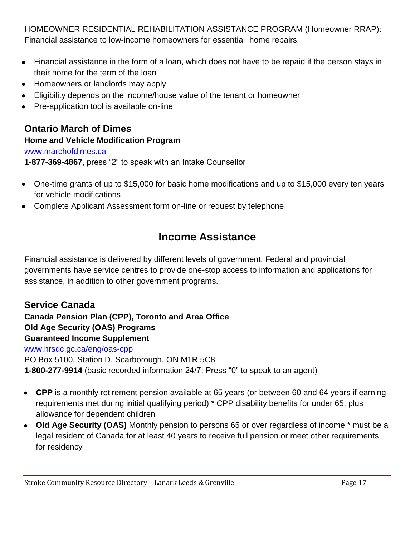HOMEOWNER RESIDENTIAL REHABILITATION ASSISTANCE PROGRAM (Homeowner RRAP): Financial assistance to low-income homeowners for essential home repairs.

- Financial assistance in the form of a loan, which does not have to be repaid if the person stays in their home for the term of the loan
- Homeowners or landlords may apply  $\bullet$
- Eligibility depends on the income/house value of the tenant or homeowner  $\bullet$
- Pre-application tool is available on-line

**Ontario March of Dimes Home and Vehicle Modification Program** [www.marchofdimes.ca](http://www.marchofdimes.ca/) **1-877-369-4867**, press "2" to speak with an Intake Counsellor

- One-time grants of up to \$15,000 for basic home modifications and up to \$15,000 every ten years for vehicle modifications
- Complete Applicant Assessment form on-line or request by telephone

# **Income Assistance**

Financial assistance is delivered by different levels of government. Federal and provincial governments have service centres to provide one-stop access to information and applications for assistance, in addition to other government programs.

### **Service Canada**

**Canada Pension Plan (CPP), Toronto and Area Office Old Age Security (OAS) Programs Guaranteed Income Supplement** [www.hrsdc.gc.ca/eng/oas-cpp](http://www.hrsdc.gc.ca/eng/oas-cpp) PO Box 5100, Station D, Scarborough, ON M1R 5C8 **1-800-277-9914** (basic recorded information 24/7; Press "0" to speak to an agent)

- **CPP** is a monthly retirement pension available at 65 years (or between 60 and 64 years if earning requirements met during initial qualifying period) \* CPP disability benefits for under 65, plus allowance for dependent children
- **Old Age Security (OAS)** Monthly pension to persons 65 or over regardless of income \* must be a legal resident of Canada for at least 40 years to receive full pension or meet other requirements for residency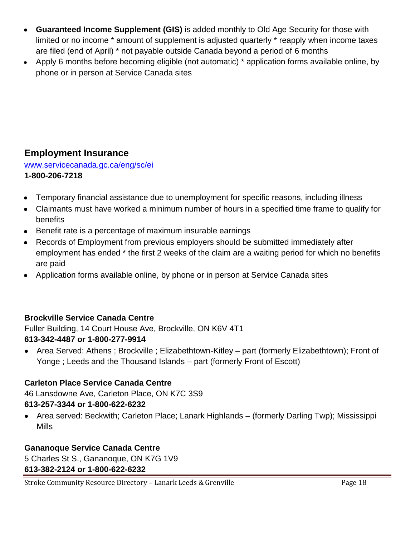- **Guaranteed Income Supplement (GIS)** is added monthly to Old Age Security for those with limited or no income \* amount of supplement is adjusted quarterly \* reapply when income taxes are filed (end of April) \* not payable outside Canada beyond a period of 6 months
- Apply 6 months before becoming eligible (not automatic) \* application forms available online, by  $\bullet$ phone or in person at Service Canada sites

### **Employment Insurance**

[www.servicecanada.gc.ca/eng/sc/ei](http://www.servicecanada.gc.ca/eng/sc/ei) **1-800-206-7218**

- Temporary financial assistance due to unemployment for specific reasons, including illness  $\bullet$
- Claimants must have worked a minimum number of hours in a specified time frame to qualify for benefits
- Benefit rate is a percentage of maximum insurable earnings
- Records of Employment from previous employers should be submitted immediately after employment has ended \* the first 2 weeks of the claim are a waiting period for which no benefits are paid
- Application forms available online, by phone or in person at Service Canada sites  $\bullet$

#### **Brockville Service Canada Centre**

Fuller Building, 14 Court House Ave, Brockville, ON K6V 4T1 **613-342-4487 or 1-800-277-9914**

Area Served: Athens ; Brockville ; Elizabethtown-Kitley – part (formerly Elizabethtown); Front of Yonge ; Leeds and the Thousand Islands – part (formerly Front of Escott)

#### **Carleton Place Service Canada Centre**

46 Lansdowne Ave, Carleton Place, ON K7C 3S9 **613-257-3344 or 1-800-622-6232** 

Area served: Beckwith; Carleton Place; Lanark Highlands – (formerly Darling Twp); Mississippi Mills

#### **Gananoque Service Canada Centre**

5 Charles St S., Gananoque, ON K7G 1V9 **613-382-2124 or 1-800-622-6232**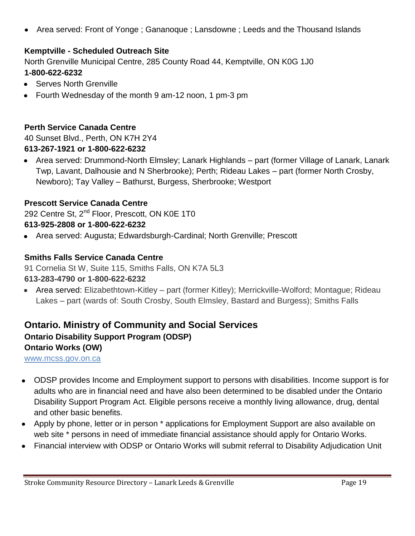Area served: Front of Yonge ; Gananoque ; Lansdowne ; Leeds and the Thousand Islands  $\bullet$ 

#### **Kemptville - Scheduled Outreach Site**

North Grenville Municipal Centre, 285 County Road 44, Kemptville, ON K0G 1J0 **1-800-622-6232**

- Serves North Grenville
- Fourth Wednesday of the month 9 am-12 noon, 1 pm-3 pm

#### **Perth Service Canada Centre**

40 Sunset Blvd., Perth, ON K7H 2Y4 **613-267-1921 or 1-800-622-6232**

Area served: Drummond-North Elmsley; Lanark Highlands – part (former Village of Lanark, Lanark Twp, Lavant, Dalhousie and N Sherbrooke); Perth; Rideau Lakes – part (former North Crosby, Newboro); Tay Valley – Bathurst, Burgess, Sherbrooke; Westport

#### **Prescott Service Canada Centre**

292 Centre St, 2<sup>nd</sup> Floor, Prescott, ON K0E 1T0 **613-925-2808 or 1-800-622-6232**

Area served: Augusta; Edwardsburgh-Cardinal; North Grenville; Prescott

#### **Smiths Falls Service Canada Centre**

91 Cornelia St W, Suite 115, Smiths Falls, ON K7A 5L3

#### **613-283-4790 or 1-800-622-6232**

Area served: Elizabethtown-Kitley – part (former Kitley); Merrickville-Wolford; Montague; Rideau Lakes – part (wards of: South Crosby, South Elmsley, Bastard and Burgess); Smiths Falls

### **Ontario. Ministry of Community and Social Services Ontario Disability Support Program (ODSP) Ontario Works (OW)**

[www.mcss.gov.on.ca](http://www.mcss.gov.on.ca/)

- ODSP provides Income and Employment support to persons with disabilities. Income support is for adults who are in financial need and have also been determined to be disabled under the Ontario Disability Support Program Act. Eligible persons receive a monthly living allowance, drug, dental and other basic benefits.
- Apply by phone, letter or in person \* applications for Employment Support are also available on web site \* persons in need of immediate financial assistance should apply for Ontario Works.
- Financial interview with ODSP or Ontario Works will submit referral to Disability Adjudication Unit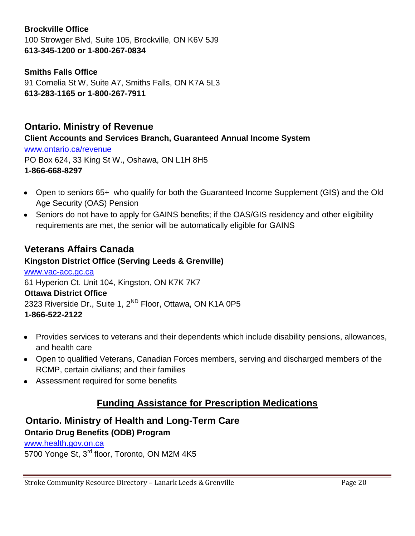#### **Brockville Office**

100 Strowger Blvd, Suite 105, Brockville, ON K6V 5J9 **613-345-1200 or 1-800-267-0834**

#### **Smiths Falls Office**

91 Cornelia St W, Suite A7, Smiths Falls, ON K7A 5L3 **613-283-1165 or 1-800-267-7911**

#### **Ontario. Ministry of Revenue**

**Client Accounts and Services Branch, Guaranteed Annual Income System**

[www.ontario.ca/revenue](http://www.ontario.ca/revenue) PO Box 624, 33 King St W., Oshawa, ON L1H 8H5 **1-866-668-8297**

- Open to seniors 65+ who qualify for both the Guaranteed Income Supplement (GIS) and the Old Age Security (OAS) Pension
- Seniors do not have to apply for GAINS benefits; if the OAS/GIS residency and other eligibility requirements are met, the senior will be automatically eligible for GAINS

### **Veterans Affairs Canada**

**Kingston District Office (Serving Leeds & Grenville)**  [www.vac-acc.gc.ca](http://www.vac-acc.gc.ca/) 61 Hyperion Ct. Unit 104, Kingston, ON K7K 7K7 **Ottawa District Office** 2323 Riverside Dr., Suite 1, 2<sup>ND</sup> Floor, Ottawa, ON K1A 0P5 **1-866-522-2122**

- Provides services to veterans and their dependents which include disability pensions, allowances, and health care
- Open to qualified Veterans, Canadian Forces members, serving and discharged members of the RCMP, certain civilians; and their families
- Assessment required for some benefits

### **Funding Assistance for Prescription Medications**

#### **Ontario. Ministry of Health and Long-Term Care Ontario Drug Benefits (ODB) Program**

[www.health.gov.on.ca](http://www.health.gov.on.ca/) 5700 Yonge St, 3<sup>rd</sup> floor, Toronto, ON M2M 4K5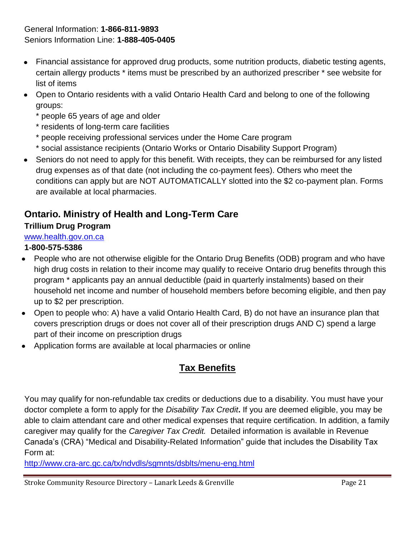#### General Information: **1-866-811-9893** Seniors Information Line: **1-888-405-0405**

- Financial assistance for approved drug products, some nutrition products, diabetic testing agents,  $\bullet$ certain allergy products \* items must be prescribed by an authorized prescriber \* see website for list of items
- Open to Ontario residents with a valid Ontario Health Card and belong to one of the following groups:
	- \* people 65 years of age and older
	- \* residents of long-term care facilities
	- \* people receiving professional services under the Home Care program
	- \* social assistance recipients (Ontario Works or Ontario Disability Support Program)
- Seniors do not need to apply for this benefit. With receipts, they can be reimbursed for any listed  $\bullet$ drug expenses as of that date (not including the co-payment fees). Others who meet the conditions can apply but are NOT AUTOMATICALLY slotted into the \$2 co-payment plan. Forms are available at local pharmacies.

### **Ontario. Ministry of Health and Long-Term Care**

#### **Trillium Drug Program**

#### [www.health.gov.on.ca](http://www.health.gov.on.ca/)

#### **1-800-575-5386**

- People who are not otherwise eligible for the Ontario Drug Benefits (ODB) program and who have high drug costs in relation to their income may qualify to receive Ontario drug benefits through this program \* applicants pay an annual deductible (paid in quarterly instalments) based on their household net income and number of household members before becoming eligible, and then pay up to \$2 per prescription.
- Open to people who: A) have a valid Ontario Health Card, B) do not have an insurance plan that covers prescription drugs or does not cover all of their prescription drugs AND C) spend a large part of their income on prescription drugs
- Application forms are available at local pharmacies or online

## **Tax Benefits**

You may qualify for non-refundable tax credits or deductions due to a disability. You must have your doctor complete a form to apply for the *Disability Tax Credit***.** If you are deemed eligible, you may be able to claim attendant care and other medical expenses that require certification. In addition, a family caregiver may qualify for the *Caregiver Tax Credit.* Detailed information is available in Revenue Canada's (CRA) "Medical and Disability-Related Information" guide that includes the Disability Tax Form at:

<http://www.cra-arc.gc.ca/tx/ndvdls/sgmnts/dsblts/menu-eng.html>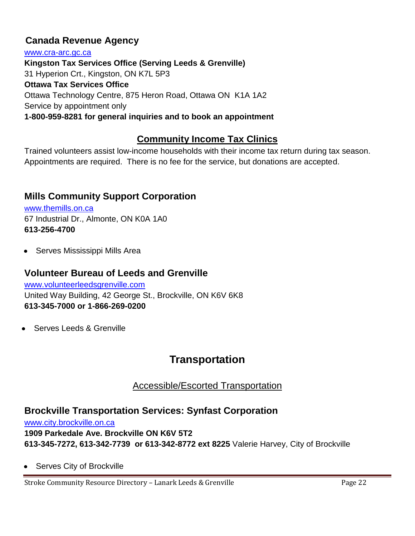### **Canada Revenue Agency**

[www.cra-arc.gc.ca](http://www.cra-arc.gc.ca/) **Kingston Tax Services Office (Serving Leeds & Grenville)**  31 Hyperion Crt., Kingston, ON K7L 5P3 **Ottawa Tax Services Office**  Ottawa Technology Centre, 875 Heron Road, Ottawa ON K1A 1A2 Service by appointment only **1-800-959-8281 for general inquiries and to book an appointment**

### **Community Income Tax Clinics**

Trained volunteers assist low-income households with their income tax return during tax season. Appointments are required. There is no fee for the service, but donations are accepted.

### **Mills Community Support Corporation**

w[ww.themills.on.ca](http://www.themills.on.ca/) 67 Industrial Dr., Almonte, ON K0A 1A0 **613-256-4700**

• Serves Mississippi Mills Area

#### **Volunteer Bureau of Leeds and Grenville**

[www.volunteerleedsgrenville.com](http://www.volunteerleedsgrenville.com/) United Way Building, 42 George St., Brockville, ON K6V 6K8 **613-345-7000 or 1-866-269-0200**

Serves Leeds & Grenville

## **Transportation**

Accessible/Escorted Transportation

### **Brockville Transportation Services: Synfast Corporation**

[www.city.brockville.on.ca](http://www.city.brockville.on.ca/) **1909 Parkedale Ave. Brockville ON K6V 5T2 613-345-7272, 613-342-7739 or 613-342-8772 ext 8225** Valerie Harvey, City of Brockville

Serves City of Brockville

Stroke Community Resource Directory - Lanark Leeds & Grenville Page 22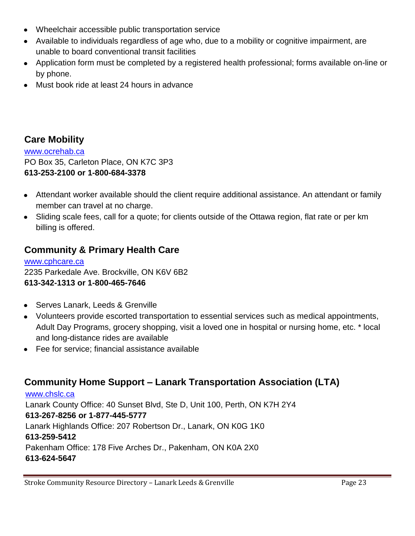- Wheelchair accessible public transportation service
- Available to individuals regardless of age who, due to a mobility or cognitive impairment, are unable to board conventional transit facilities
- Application form must be completed by a registered health professional; forms available on-line or by phone.
- Must book ride at least 24 hours in advance

### **Care Mobility**

[www.ocrehab.ca](http://www.ocrehab.ca/) PO Box 35, Carleton Place, ON K7C 3P3 **613-253-2100 or 1-800-684-3378**

- Attendant worker available should the client require additional assistance. An attendant or family member can travel at no charge.
- Sliding scale fees, call for a quote; for clients outside of the Ottawa region, flat rate or per km billing is offered.

### **Community & Primary Health Care**

[www.cphcare.ca](http://www.cphcare.ca/) 2235 Parkedale Ave. Brockville, ON K6V 6B2 **613-342-1313 or 1-800-465-7646**

- Serves Lanark, Leeds & Grenville
- Volunteers provide escorted transportation to essential services such as medical appointments, Adult Day Programs, grocery shopping, visit a loved one in hospital or nursing home, etc. \* local and long-distance rides are available
- Fee for service: financial assistance available

### **Community Home Support – Lanark Transportation Association (LTA)**

[www.chslc.ca](http://www.chslc.ca/) Lanark County Office: 40 Sunset Blvd, Ste D, Unit 100, Perth, ON K7H 2Y4 **613-267-8256 or 1-877-445-5777** Lanark Highlands Office: 207 Robertson Dr., Lanark, ON K0G 1K0 **613-259-5412** Pakenham Office: 178 Five Arches Dr., Pakenham, ON K0A 2X0 **613-624-5647**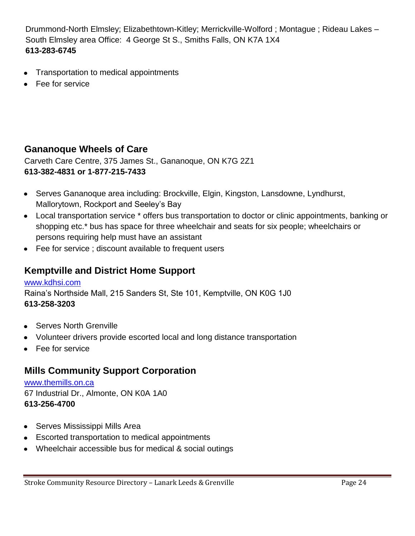Drummond-North Elmsley; Elizabethtown-Kitley; Merrickville-Wolford ; Montague ; Rideau Lakes – South Elmsley area Office: 4 George St S., Smiths Falls, ON K7A 1X4 **613-283-6745**

- Transportation to medical appointments  $\bullet$
- Fee for service

### **Gananoque Wheels of Care**

Carveth Care Centre, 375 James St., Gananoque, ON K7G 2Z1 **613-382-4831 or 1-877-215-7433**

- Serves Gananoque area including: Brockville, Elgin, Kingston, Lansdowne, Lyndhurst, Mallorytown, Rockport and Seeley's Bay
- Local transportation service \* offers bus transportation to doctor or clinic appointments, banking or shopping etc.\* bus has space for three wheelchair and seats for six people; wheelchairs or persons requiring help must have an assistant
- Fee for service ; discount available to frequent users

### **Kemptville and District Home Support**

[www.kdhsi.com](http://www.kdhsi.com/) Raina's Northside Mall, 215 Sanders St, Ste 101, Kemptville, ON K0G 1J0 **613-258-3203**

- Serves North Grenville
- Volunteer drivers provide escorted local and long distance transportation
- Fee for service

### **Mills Community Support Corporation**

[www.themills.on.ca](http://www.themills.on.ca/) 67 Industrial Dr., Almonte, ON K0A 1A0 **613-256-4700**

- Serves Mississippi Mills Area
- Escorted transportation to medical appointments
- Wheelchair accessible bus for medical & social outings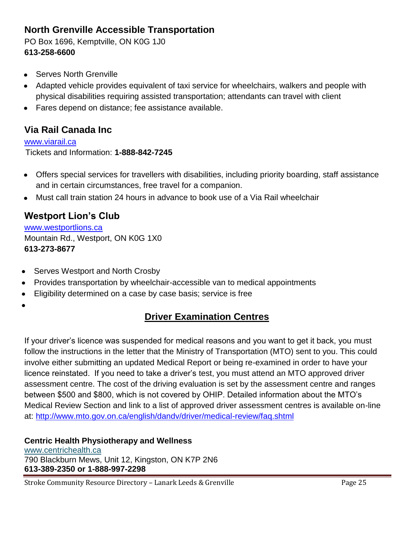### **North Grenville Accessible Transportation**

PO Box 1696, Kemptville, ON K0G 1J0 **613-258-6600**

- Serves North Grenville  $\bullet$
- Adapted vehicle provides equivalent of taxi service for wheelchairs, walkers and people with physical disabilities requiring assisted transportation; attendants can travel with client
- Fares depend on distance; fee assistance available.

### **Via Rail Canada Inc**

[www.viarail.ca](http://www.viarail.ca/) Tickets and Information: **1-888-842-7245**

- Offers special services for travellers with disabilities, including priority boarding, staff assistance  $\bullet$ and in certain circumstances, free travel for a companion.
- Must call train station 24 hours in advance to book use of a Via Rail wheelchair  $\bullet$

### **Westport Lion's Club**

[www.westportlions.ca](http://www.westportlions.ca/) Mountain Rd., Westport, ON K0G 1X0 **613-273-8677**

- Serves Westport and North Crosby
- Provides transportation by wheelchair-accessible van to medical appointments  $\bullet$
- Eligibility determined on a case by case basis; service is free  $\bullet$
- 

### **Driver Examination Centres**

If your driver's licence was suspended for medical reasons and you want to get it back, you must follow the instructions in the letter that the Ministry of Transportation (MTO) sent to you. This could involve either submitting an updated Medical Report or being re-examined in order to have your licence reinstated. If you need to take a driver's test, you must attend an MTO approved driver assessment centre. The cost of the driving evaluation is set by the assessment centre and ranges between \$500 and \$800, which is not covered by OHIP. Detailed information about the MTO's Medical Review Section and link to a list of approved driver assessment centres is available on-line at:<http://www.mto.gov.on.ca/english/dandv/driver/medical-review/faq.shtml>

#### **Centric Health Physiotherapy and Wellness**

[www.centrichealth.ca](http://www.centrichealth.ca/) 790 Blackburn Mews, Unit 12, Kingston, ON K7P 2N6 **613-389-2350 or 1-888-997-2298**

Stroke Community Resource Directory - Lanark Leeds & Grenville Page 25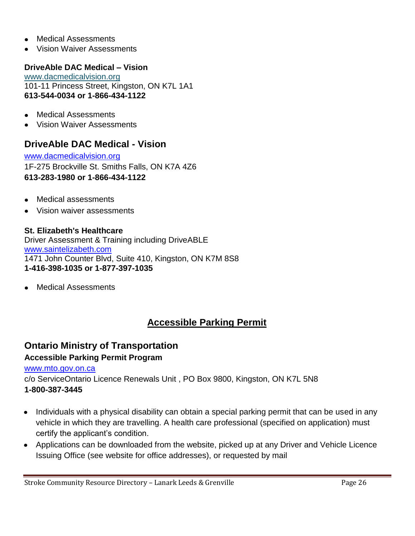- Medical Assessments  $\bullet$
- Vision Waiver Assessments

#### **DriveAble DAC Medical – Vision**

[www.dacmedicalvision.org](http://www.dacmedicalvision.org/) 101-11 Princess Street, Kingston, ON K7L 1A1 **613-544-0034 or 1-866-434-1122**

- Medical Assessments
- Vision Waiver Assessments

### **DriveAble DAC Medical - Vision**

[www.dacmedicalvision.org](http://www.dacmedicalvision.org/) 1F-275 Brockville St. Smiths Falls, ON K7A 4Z6 **613-283-1980 or 1-866-434-1122**

- Medical assessments
- Vision waiver assessments

#### **St. Elizabeth's Healthcare**

Driver Assessment & Training including DriveABLE [www.saintelizabeth.com](http://www.saintelizabeth.com/) 1471 John Counter Blvd, Suite 410, Kingston, ON K7M 8S8 **1-416-398-1035 or 1-877-397-1035**

Medical Assessments

### **Accessible Parking Permit**

#### **Ontario Ministry of Transportation Accessible Parking Permit Program**

[www.mto.gov.on.ca](http://www.mto.gov.on.ca/)

c/o ServiceOntario Licence Renewals Unit , PO Box 9800, Kingston, ON K7L 5N8 **1-800-387-3445**

- Individuals with a physical disability can obtain a special parking permit that can be used in any vehicle in which they are travelling. A health care professional (specified on application) must certify the applicant's condition.
- Applications can be downloaded from the website, picked up at any Driver and Vehicle Licence Issuing Office (see website for office addresses), or requested by mail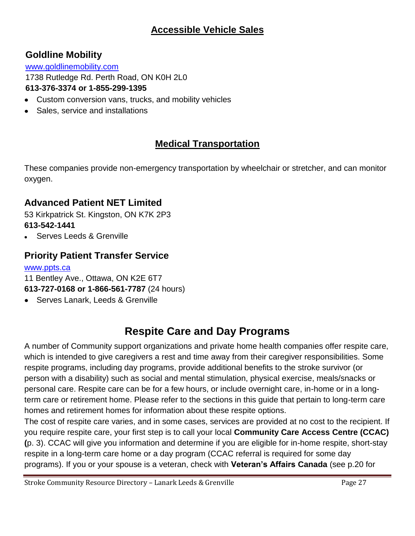### **Accessible Vehicle Sales**

### **Goldline Mobility**

[www.goldlinemobility.com](http://www.goldlinemobility.com/)

1738 Rutledge Rd. Perth Road, ON K0H 2L0

#### **613-376-3374 or 1-855-299-1395**

- Custom conversion vans, trucks, and mobility vehicles  $\bullet$
- $\bullet$ Sales, service and installations

### **Medical Transportation**

These companies provide non-emergency transportation by wheelchair or stretcher, and can monitor oxygen.

### **Advanced Patient NET Limited**

53 Kirkpatrick St. Kingston, ON K7K 2P3 **613-542-1441**

Serves Leeds & Grenville

### **Priority Patient Transfer Service**

#### [www.ppts.ca](http://www.ppts.ca/)

11 Bentley Ave., Ottawa, ON K2E 6T7

- **613-727-0168 or 1-866-561-7787** (24 hours)
- Serves Lanark, Leeds & Grenville  $\bullet$

# **Respite Care and Day Programs**

A number of Community support organizations and private home health companies offer respite care, which is intended to give caregivers a rest and time away from their caregiver responsibilities. Some respite programs, including day programs, provide additional benefits to the stroke survivor (or person with a disability) such as social and mental stimulation, physical exercise, meals/snacks or personal care. Respite care can be for a few hours, or include overnight care, in-home or in a longterm care or retirement home. Please refer to the sections in this guide that pertain to long-term care homes and retirement homes for information about these respite options.

The cost of respite care varies, and in some cases, services are provided at no cost to the recipient. If you require respite care, your first step is to call your local **Community Care Access Centre (CCAC) (**p. 3). CCAC will give you information and determine if you are eligible for in-home respite, short-stay respite in a long-term care home or a day program (CCAC referral is required for some day programs). If you or your spouse is a veteran, check with **Veteran's Affairs Canada** (see p.20 for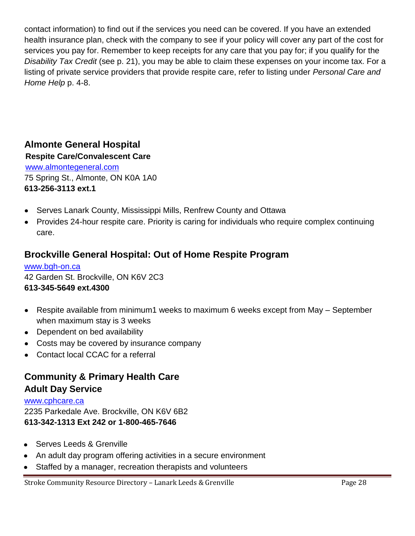contact information) to find out if the services you need can be covered. If you have an extended health insurance plan, check with the company to see if your policy will cover any part of the cost for services you pay for. Remember to keep receipts for any care that you pay for; if you qualify for the *Disability Tax Credit* (see p. 21), you may be able to claim these expenses on your income tax. For a listing of private service providers that provide respite care, refer to listing under *Personal Care and Home Help* p. 4-8.

### **Almonte General Hospital**

**Respite Care/Convalescent Care**

[www.almontegeneral.com](http://www.almontegeneral.com/) 75 Spring St., Almonte, ON K0A 1A0 **613-256-3113 ext.1**

- Serves Lanark County, Mississippi Mills, Renfrew County and Ottawa  $\bullet$
- Provides 24-hour respite care. Priority is caring for individuals who require complex continuing care.

### **Brockville General Hospital: Out of Home Respite Program**

[www.bgh-on.ca](http://www.bgh-on.ca/) 42 Garden St. Brockville, ON K6V 2C3 **613-345-5649 ext.4300**

- Respite available from minimum1 weeks to maximum 6 weeks except from May September when maximum stay is 3 weeks
- Dependent on bed availability
- Costs may be covered by insurance company
- Contact local CCAC for a referral

### **Community & Primary Health Care Adult Day Service**

#### [www.cphcare.ca](http://www.cphcare.ca/) 2235 Parkedale Ave. Brockville, ON K6V 6B2 **613-342-1313 Ext 242 or 1-800-465-7646**

- Serves Leeds & Grenville  $\bullet$
- An adult day program offering activities in a secure environment
- Staffed by a manager, recreation therapists and volunteers $\bullet$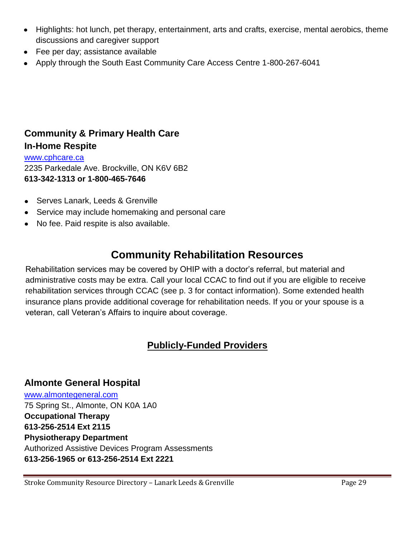- Highlights: hot lunch, pet therapy, entertainment, arts and crafts, exercise, mental aerobics, theme discussions and caregiver support
- Fee per day; assistance available
- Apply through the South East Community Care Access Centre 1-800-267-6041

### **Community & Primary Health Care In-Home Respite**

[www.cphcare.ca](http://www.cphcare.ca/) 2235 Parkedale Ave. Brockville, ON K6V 6B2 **613-342-1313 or 1-800-465-7646**

- Serves Lanark, Leeds & Grenville
- Service may include homemaking and personal care
- No fee. Paid respite is also available.  $\bullet$

# **Community Rehabilitation Resources**

Rehabilitation services may be covered by OHIP with a doctor's referral, but material and administrative costs may be extra. Call your local CCAC to find out if you are eligible to receive rehabilitation services through CCAC (see p. 3 for contact information). Some extended health insurance plans provide additional coverage for rehabilitation needs. If you or your spouse is a veteran, call Veteran's Affairs to inquire about coverage.

### **Publicly-Funded Providers**

# **Almonte General Hospital**

[www.almontegeneral.com](http://www.almontegeneral.com/) 75 Spring St., Almonte, ON K0A 1A0 **Occupational Therapy 613-256-2514 Ext 2115 Physiotherapy Department** Authorized Assistive Devices Program Assessments **613-256-1965 or 613-256-2514 Ext 2221**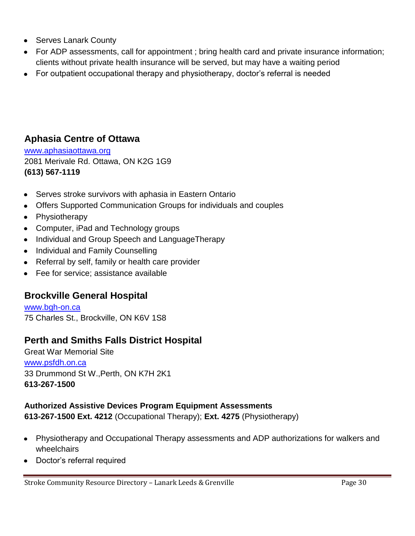- Serves Lanark County
- For ADP assessments, call for appointment ; bring health card and private insurance information; clients without private health insurance will be served, but may have a waiting period
- For outpatient occupational therapy and physiotherapy, doctor's referral is needed

### **Aphasia Centre of Ottawa**

[www.aphasiaottawa.org](http://www.aphasiaottawa.org/) 2081 Merivale Rd. Ottawa, ON K2G 1G9 **(613) 567-1119**

- Serves stroke survivors with aphasia in Eastern Ontario
- Offers Supported Communication Groups for individuals and couples
- Physiotherapy
- Computer, iPad and Technology groups
- Individual and Group Speech and LanguageTherapy
- Individual and Family Counselling
- Referral by self, family or health care provider
- Fee for service: assistance available

### **Brockville General Hospital**

[www.bgh-on.ca](http://www.bgh-on.ca/) 75 Charles St., Brockville, ON K6V 1S8

### **Perth and Smiths Falls District Hospital**

Great War Memorial Site [www.psfdh.on.ca](http://www.psfdh.on.ca/) 33 Drummond St W.,Perth, ON K7H 2K1 **613-267-1500**

#### **Authorized Assistive Devices Program Equipment Assessments**

**613-267-1500 Ext. 4212** (Occupational Therapy); **Ext. 4275** (Physiotherapy)

- Physiotherapy and Occupational Therapy assessments and ADP authorizations for walkers and wheelchairs
- Doctor's referral required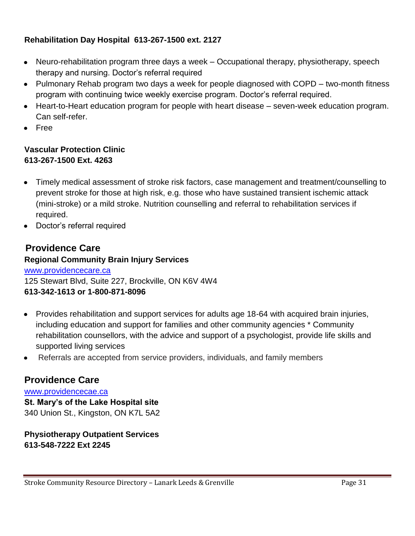#### **Rehabilitation Day Hospital 613-267-1500 ext. 2127**

- Neuro-rehabilitation program three days a week Occupational therapy, physiotherapy, speech  $\bullet$ therapy and nursing. Doctor's referral required
- Pulmonary Rehab program two days a week for people diagnosed with COPD two-month fitness program with continuing twice weekly exercise program. Doctor's referral required.
- Heart-to-Heart education program for people with heart disease seven-week education program. Can self-refer.
- Free

#### **Vascular Protection Clinic 613-267-1500 Ext. 4263**

- Timely medical assessment of stroke risk factors, case management and treatment/counselling to prevent stroke for those at high risk, e.g. those who have sustained transient ischemic attack (mini-stroke) or a mild stroke. Nutrition counselling and referral to rehabilitation services if required.
- Doctor's referral required

### **Providence Care**

#### **Regional Community Brain Injury Services**

#### [www.providencecare.ca](http://www.providencecare.ca/)

125 Stewart Blvd, Suite 227, Brockville, ON K6V 4W4 **613-342-1613 or 1-800-871-8096**

- Provides rehabilitation and support services for adults age 18-64 with acquired brain injuries,  $\bullet$ including education and support for families and other community agencies \* Community rehabilitation counsellors, with the advice and support of a psychologist, provide life skills and supported living services
- Referrals are accepted from service providers, individuals, and family members

#### **Providence Care**

[www.providencecae.ca](http://www.providencecae.ca/) **St. Mary's of the Lake Hospital site** 340 Union St., Kingston, ON K7L 5A2

**Physiotherapy Outpatient Services 613-548-7222 Ext 2245**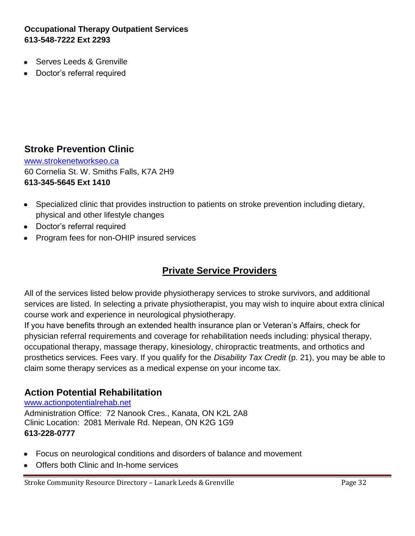#### **Occupational Therapy Outpatient Services 613-548-7222 Ext 2293**

- Serves Leeds & Grenville
- Doctor's referral required

#### **Stroke Prevention Clinic**

[www.strokenetworkseo.ca](http://www.strokenetworkseo.ca/) 60 Cornelia St. W. Smiths Falls, K7A 2H9 **613-345-5645 Ext 1410**

- Specialized clinic that provides instruction to patients on stroke prevention including dietary,  $\bullet$ physical and other lifestyle changes
- Doctor's referral required
- Program fees for non-OHIP insured services

### **Private Service Providers**

All of the services listed below provide physiotherapy services to stroke survivors, and additional services are listed. In selecting a private physiotherapist, you may wish to inquire about extra clinical course work and experience in neurological physiotherapy.

If you have benefits through an extended health insurance plan or Veteran's Affairs, check for physician referral requirements and coverage for rehabilitation needs including: physical therapy, occupational therapy, massage therapy, kinesiology, chiropractic treatments, and orthotics and prosthetics services. Fees vary. If you qualify for the *Disability Tax Credit* (p. 21), you may be able to claim some therapy services as a medical expense on your income tax.

#### **Action Potential Rehabilitation**

[www.actionpotentialrehab.net](http://www.actionpotentialrehab.net/) Administration Office: 72 Nanook Cres., Kanata, ON K2L 2A8 Clinic Location: 2081 Merivale Rd. Nepean, ON K2G 1G9 **613-228-0777**

- Focus on neurological conditions and disorders of balance and movement
- Offers both Clinic and In-home services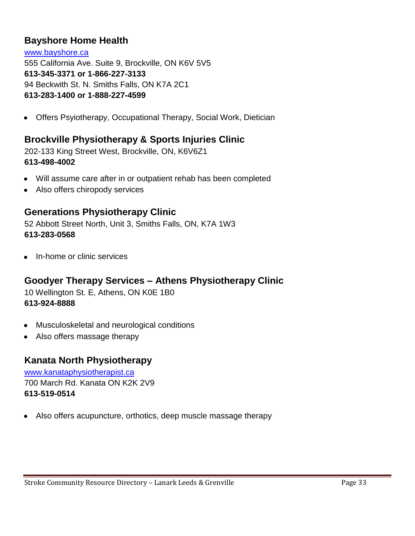### **Bayshore Home Health**

[www.bayshore.ca](http://www.bayshore.ca/) 555 California Ave. Suite 9, Brockville, ON K6V 5V5 **613-345-3371 or 1-866-227-3133** 94 Beckwith St. N. Smiths Falls, ON K7A 2C1 **613-283-1400 or 1-888-227-4599**

Offers Psyiotherapy, Occupational Therapy, Social Work, Dietician  $\bullet$ 

### **Brockville Physiotherapy & Sports Injuries Clinic**

202-133 King Street West, Brockville, ON, K6V6Z1 **[613-498-4002](http://www.yellowpages.ca/search/si/1/Physiotherapy/Brockville%2C+ON)** 

- Will assume care after in or outpatient rehab has been completed
- Also offers chiropody services

#### **Generations Physiotherapy Clinic**

52 Abbott Street North, Unit 3, Smiths Falls, ON, K7A 1W3 **613-283-0568**

In-home or clinic services  $\bullet$ 

### **Goodyer Therapy Services – Athens Physiotherapy Clinic**

10 Wellington St. E, Athens, ON K0E 1B0 **613-924-8888**

- Musculoskeletal and neurological conditions  $\bullet$
- Also offers massage therapy

#### **Kanata North Physiotherapy**

[www.kanataphysiotherapist.ca](http://www.kanataphysiotherapist.ca/) 700 March Rd. Kanata ON K2K 2V9 **613-519-0514**

Also offers acupuncture, orthotics, deep muscle massage therapy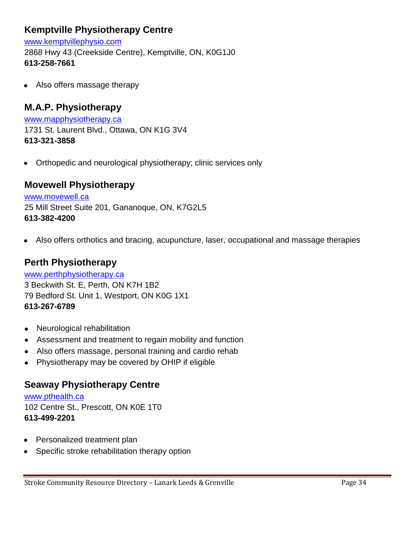### **[Kemptville Physiotherapy Centre](http://www.yellowpages.ca/bus/Ontario/Kemptville/Kemptville-Physiotherapy-Centre/3206678.html?what=Physiotherapy&where=Brockville%2C+ON&le=e7f227147a%7Ce7f227152a%7C31eb5307a%7Cc142d746fa)**

[www.kemptvillephysio.com](http://www.kemptvillephysio.com/) 2868 Hwy 43 (Creekside Centre), Kemptville, ON, K0G1J0 **[613-258-7661](http://www.yellowpages.ca/search/si/1/Physiotherapy/Brockville%2C+ON)** 

Also offers massage therapy

### **M.A.P. Physiotherapy**

[www.mapphysiotherapy.ca](http://www.mapphysiotherapy.ca/) 1731 St. Laurent Blvd., Ottawa, ON K1G 3V4 **613-321-3858**

Orthopedic and neurological physiotherapy; clinic services only  $\bullet$ 

#### **[Movewell Physiotherapy](http://www.yellowpages.ca/bus/Ontario/Gananoque/Movewell-Physiotherapy/3328893.html?adid=13910582ab&what=Physiotherapy&where=Brockville%2C+ON&le=e7f227138a%7C8663ce758a%7Cda4d52098a%7C31eb52f8a%7C103180de18a)**

[www.movewell.ca](http://www.movewell.ca/) 25 Mill Street Suite 201, Gananoque, ON, K7G2L5 **[613-382-4200](http://www.yellowpages.ca/search/si/1/Physiotherapy/Brockville%2C+ON)** 

Also offers orthotics and bracing, acupuncture, laser, occupational and massage therapies  $\bullet$ 

#### **[Perth Physiotherapy](http://www.yellowpages.ca/bus/Ontario/Perth/Perth-Physiotherapy/5220495.html?what=Physiotherapy&where=Brockville%2C+ON&le=e7f227163a)**

[www.perthphysiotherapy.ca](http://www.perthphysiotherapy.ca/) 3 Beckwith St. E, Perth, ON K7H 1B2 79 Bedford St. Unit 1, Westport, ON K0G 1X1 **613-267-6789**

- Neurological rehabilitation  $\bullet$
- Assessment and treatment to regain mobility and function  $\bullet$
- Also offers massage, personal training and cardio rehab
- Physiotherapy may be covered by OHIP if eligible  $\bullet$

### **Seaway Physiotherapy Centre**

[www.pthealth.ca](http://www.pthealth.ca/) 102 Centre St., Prescott, ON K0E 1T0 **613-499-2201**

- Personalized treatment plan  $\bullet$
- Specific stroke rehabilitation therapy option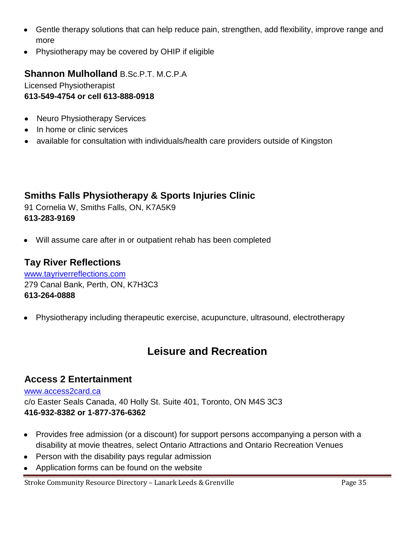- Gentle therapy solutions that can help reduce pain, strengthen, add flexibility, improve range and  $\bullet$ more
- Physiotherapy may be covered by OHIP if eligible

### **Shannon Mulholland** B.Sc.P.T. M.C.P.A

Licensed Physiotherapist **613-549-4754 or cell 613-888-0918**

- Neuro Physiotherapy Services  $\bullet$
- In home or clinic services
- available for consultation with individuals/health care providers outside of Kingston

### **Smiths Falls Physiotherapy & Sports Injuries Clinic**

91 Cornelia W, Smiths Falls, ON, K7A5K9 **[613-283-9169](http://www.yellowpages.ca/search/si/1/Physiotherapy/Brockville%2C+ON)** 

Will assume care after in or outpatient rehab has been completed  $\bullet$ 

#### **[Tay River Reflections](http://www.yellowpages.ca/bus/Ontario/Perth/Tay-River-Reflections/1555334.html?what=Physiotherapy&where=Brockville%2C+ON&le=e7f227163a)**

[www.tayriverreflections.com](http://www.tayriverreflections.com/) 279 Canal Bank, Perth, ON, K7H3C3 **[613-264-0888](http://www.yellowpages.ca/search/si/1/Physiotherapy/Brockville%2C+ON)** 

Physiotherapy including therapeutic exercise, acupuncture, ultrasound, electrotherapy

## **Leisure and Recreation**

#### **Access 2 Entertainment**

#### [www.access2card.ca](http://www.access2card.ca/)

c/o Easter Seals Canada, 40 Holly St. Suite 401, Toronto, ON M4S 3C3 **416-932-8382 or 1-877-376-6362**

- Provides free admission (or a discount) for support persons accompanying a person with a disability at movie theatres, select Ontario Attractions and Ontario Recreation Venues
- Person with the disability pays regular admission  $\bullet$
- Application forms can be found on the website $\bullet$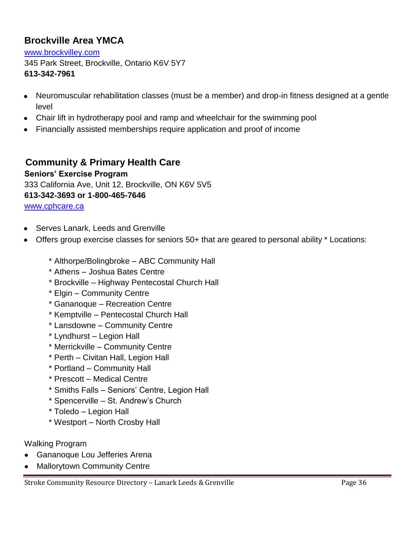### **Brockville Area YMCA**

[www.brockvilley.com](http://www.brockvilley.com/) 345 Park Street, Brockville, Ontario K6V 5Y7 **613-342-7961**

- Neuromuscular rehabilitation classes (must be a member) and drop-in fitness designed at a gentle  $\bullet$ level
- Chair lift in hydrotherapy pool and ramp and wheelchair for the swimming pool
- Financially assisted memberships require application and proof of income

### **Community & Primary Health Care**

#### **Seniors' Exercise Program**

333 California Ave, Unit 12, Brockville, ON K6V 5V5 **613-342-3693 or 1-800-465-7646** [www.cphcare.ca](http://www.cphcare.ca/)

- Serves Lanark, Leeds and Grenville
- Offers group exercise classes for seniors 50+ that are geared to personal ability \* Locations:
	- \* Althorpe/Bolingbroke ABC Community Hall
	- \* Athens Joshua Bates Centre
	- \* Brockville Highway Pentecostal Church Hall
	- \* Elgin Community Centre
	- \* Gananoque Recreation Centre
	- \* Kemptville Pentecostal Church Hall
	- \* Lansdowne Community Centre
	- \* Lyndhurst Legion Hall
	- \* Merrickville Community Centre
	- \* Perth Civitan Hall, Legion Hall
	- \* Portland Community Hall
	- \* Prescott Medical Centre
	- \* Smiths Falls Seniors' Centre, Legion Hall
	- \* Spencerville St. Andrew's Church
	- \* Toledo Legion Hall
	- \* Westport North Crosby Hall

#### Walking Program

- Gananoque Lou Jefferies Arena  $\bullet$
- Mallorytown Community Centre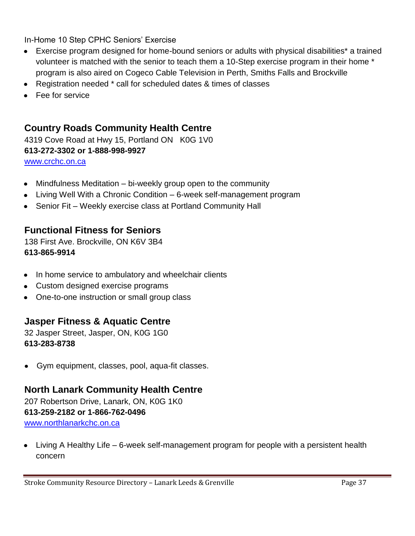In-Home 10 Step CPHC Seniors' Exercise

- Exercise program designed for home-bound seniors or adults with physical disabilities\* a trained volunteer is matched with the senior to teach them a 10-Step exercise program in their home \* program is also aired on Cogeco Cable Television in Perth, Smiths Falls and Brockville
- Registration needed \* call for scheduled dates & times of classes
- Fee for service

### **Country Roads Community Health Centre**

4319 Cove Road at Hwy 15, Portland ON K0G 1V0 **613-272-3302 or 1-888-998-9927**

[www.crchc.on.ca](http://www.crchc.on.ca/)

- Mindfulness Meditation bi-weekly group open to the community  $\bullet$
- Living Well With a Chronic Condition 6-week self-management program  $\bullet$
- Senior Fit Weekly exercise class at Portland Community Hall

### **Functional Fitness for Seniors**

138 First Ave. Brockville, ON K6V 3B4 **613-865-9914**

- In home service to ambulatory and wheelchair clients  $\bullet$
- Custom designed exercise programs
- One-to-one instruction or small group class  $\bullet$

### **Jasper Fitness & Aquatic Centre**

32 Jasper Street, Jasper, ON, K0G 1G0 **613-283-8738**

Gym equipment, classes, pool, aqua-fit classes.

### **North Lanark Community Health Centre**

207 Robertson Drive, Lanark, ON, K0G 1K0 **613-259-2182 or 1-866-762-0496** [www.northlanarkchc.on.ca](http://www.northlanarkchc.on.ca/)

Living A Healthy Life – 6-week self-management program for people with a persistent health concern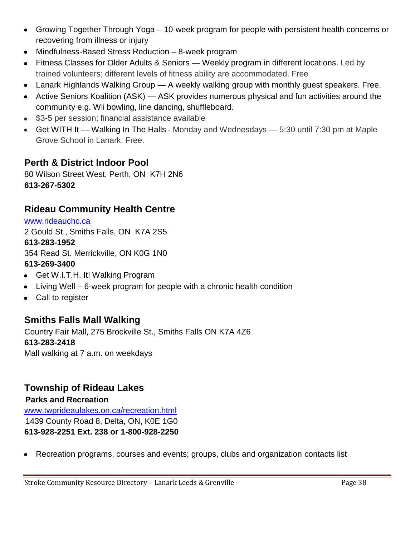- Growing Together Through Yoga 10-week program for people with persistent health concerns or recovering from illness or injury
- Mindfulness-Based Stress Reduction 8-week program
- [Fitness Classes for Older Adults & Seniors](http://www.northlanarkchc.on.ca/ps_afc.php) Weekly program in different locations. Led by trained volunteers; different levels of fitness ability are accommodated. Free
- [Lanark Highlands Walking Group](http://www.northlanarkchc.on.ca/ps_walk.php) A weekly walking group with monthly guest speakers. Free.
- [Active Seniors Koalition \(ASK\)](http://www.northlanarkchc.on.ca/ps_ask.php) ASK provides numerous physical and fun activities around the community e.g. Wii bowling, line dancing, shuffleboard.
- \$3-5 per session; financial assistance available
- [Get WITH It](http://www.northlanarkchc.on.ca/ps_gwi.php) Walking In The Halls Monday and Wednesdays 5:30 until 7:30 pm at Maple Grove School in Lanark. Free.

### **Perth & District Indoor Pool**

80 Wilson Street West, Perth, ON K7H 2N6 **613-267-5302**

### **Rideau Community Health Centre**

[www.rideauchc.ca](http://www.rideauchc.ca/)

2 Gould St., Smiths Falls, ON K7A 2S5 **613-283-1952** 354 Read St. Merrickville, ON K0G 1N0 **613-269-3400**

- Get W.I.T.H. It! Walking Program
- Living Well 6-week program for people with a chronic health condition
- Call to register

### **Smiths Falls Mall Walking**

Country Fair Mall, 275 Brockville St., Smiths Falls ON K7A 4Z6 **613-283-2418** Mall walking at 7 a.m. on weekdays

### **Township of Rideau Lakes**

**Parks and Recreation** [www.twprideaulakes.on.ca/recreation.html](http://www.twprideaulakes.on.ca/recreation.html) 1439 County Road 8, Delta, ON, K0E 1G0 **613-928-2251 Ext. 238 or 1-800-928-2250** 

Recreation programs, courses and events; groups, clubs and organization contacts list  $\bullet$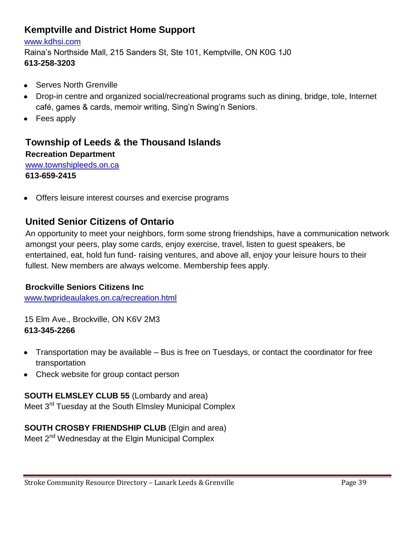### **Kemptville and District Home Support**

#### [www.kdhsi.com](http://www.kdhsi.com/)

Raina's Northside Mall, 215 Sanders St, Ste 101, Kemptville, ON K0G 1J0 **613-258-3203**

- Serves North Grenville
- Drop-in centre and organized social/recreational programs such as dining, bridge, tole, Internet  $\bullet$ café, games & cards, memoir writing, Sing'n Swing'n Seniors.
- Fees apply

### **Township of Leeds & the Thousand Islands**

### **Recreation Department**  [www.townshipleeds.on.ca](http://www.townshipleeds.on.ca/)

**613-659-2415**

Offers leisure interest courses and exercise programs

### **United Senior Citizens of Ontario**

An opportunity to meet your neighbors, form some strong friendships, have a communication network amongst your peers, play some cards, enjoy exercise, travel, listen to guest speakers, be entertained, eat, hold fun fund- raising ventures, and above all, enjoy your leisure hours to their fullest. New members are always welcome. Membership fees apply.

#### **Brockville Seniors Citizens Inc**

[www.twprideaulakes.on.ca/recreation.html](http://www.twprideaulakes.on.ca/recreation.html)

15 Elm Ave., Brockville, ON K6V 2M3 **613-345-2266**

- Transportation may be available Bus is free on Tuesdays, or contact the coordinator for free transportation
- Check website for group contact person  $\bullet$

#### **SOUTH ELMSLEY CLUB 55** (Lombardy and area)

Meet 3<sup>rd</sup> Tuesday at the South Elmsley Municipal Complex

### **SOUTH CROSBY FRIENDSHIP CLUB** (Elgin and area)

Meet 2<sup>nd</sup> Wednesday at the Elgin Municipal Complex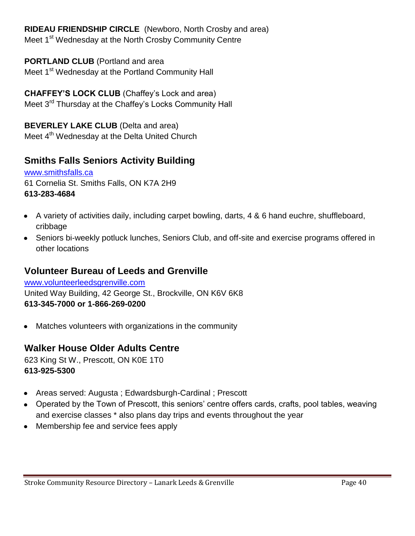**RIDEAU FRIENDSHIP CIRCLE** (Newboro, North Crosby and area) Meet 1<sup>st</sup> Wednesday at the North Crosby Community Centre

**PORTLAND CLUB** (Portland and area Meet 1<sup>st</sup> Wednesday at the Portland Community Hall

**CHAFFEY'S LOCK CLUB** (Chaffey's Lock and area) Meet 3<sup>rd</sup> Thursday at the Chaffey's Locks Community Hall

**BEVERLEY LAKE CLUB** (Delta and area) Meet 4<sup>th</sup> Wednesday at the Delta United Church

### **Smiths Falls Seniors Activity Building**

[www.smithsfalls.ca](http://www.smithsfalls.ca/) 61 Cornelia St. Smiths Falls, ON K7A 2H9 **613-283-4684**

- A variety of activities daily, including carpet bowling, darts, 4 & 6 hand euchre, shuffleboard, cribbage
- Seniors bi-weekly potluck lunches, Seniors Club, and off-site and exercise programs offered in other locations

### **Volunteer Bureau of Leeds and Grenville**

[www.volunteerleedsgrenville.com](http://www.volunteerleedsgrenville.com/) United Way Building, 42 George St., Brockville, ON K6V 6K8 **613-345-7000 or 1-866-269-0200**

Matches volunteers with organizations in the community  $\bullet$ 

### **Walker House Older Adults Centre**

623 King St W., Prescott, ON K0E 1T0 **613-925-5300**

- Areas served: Augusta ; Edwardsburgh-Cardinal ; Prescott  $\bullet$
- Operated by the Town of Prescott, this seniors' centre offers cards, crafts, pool tables, weaving and exercise classes \* also plans day trips and events throughout the year
- Membership fee and service fees apply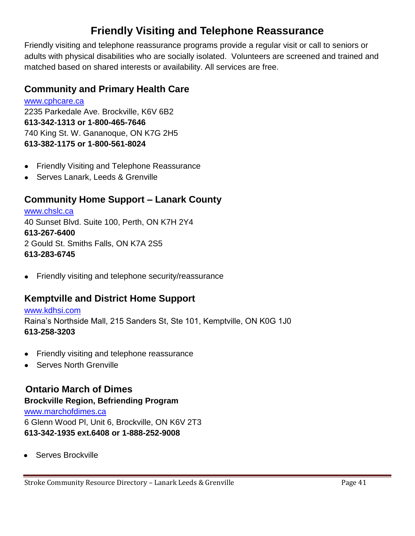# **Friendly Visiting and Telephone Reassurance**

Friendly visiting and telephone reassurance programs provide a regular visit or call to seniors or adults with physical disabilities who are socially isolated. Volunteers are screened and trained and matched based on shared interests or availability. All services are free.

### **Community and Primary Health Care**

[www.cphcare.ca](http://www.cphcare.ca/) 2235 Parkedale Ave. Brockville, K6V 6B2 **613-342-1313 or 1-800-465-7646** 740 King St. W. Gananoque, ON K7G 2H5 **613-382-1175 or 1-800-561-8024**

- Friendly Visiting and Telephone Reassurance  $\bullet$
- Serves Lanark, Leeds & Grenville

### **Community Home Support – Lanark County**

[www.chslc.ca](http://www.chslc.ca/) 40 Sunset Blvd. Suite 100, Perth, ON K7H 2Y4 **613-267-6400** 2 Gould St. Smiths Falls, ON K7A 2S5 **613-283-6745**

Friendly visiting and telephone security/reassurance  $\bullet$ 

### **Kemptville and District Home Support**

#### [www.kdhsi.com](http://www.kdhsi.com/) Raina's Northside Mall, 215 Sanders St, Ste 101, Kemptville, ON K0G 1J0 **613-258-3203**

- Friendly visiting and telephone reassurance  $\bullet$
- Serves North Grenville

### **Ontario March of Dimes**

**Brockville Region, Befriending Program** [www.marchofdimes.ca](http://www.marchofdimes.ca/) 6 Glenn Wood Pl, Unit 6, Brockville, ON K6V 2T3 **613-342-1935 ext.6408 or 1-888-252-9008**

Serves Brockville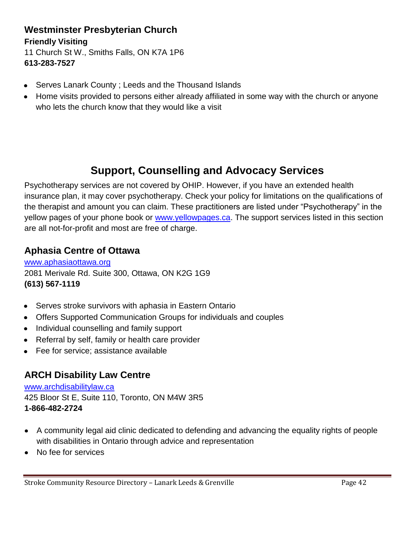### **Westminster Presbyterian Church**

#### **Friendly Visiting**

11 Church St W., Smiths Falls, ON K7A 1P6 **613-283-7527**

- Serves Lanark County ; Leeds and the Thousand Islands
- Home visits provided to persons either already affiliated in some way with the church or anyone  $\bullet$ who lets the church know that they would like a visit

# **Support, Counselling and Advocacy Services**

Psychotherapy services are not covered by OHIP. However, if you have an extended health insurance plan, it may cover psychotherapy. Check your policy for limitations on the qualifications of the therapist and amount you can claim. These practitioners are listed under "Psychotherapy" in the yellow pages of your phone book or [www.yellowpages.ca.](http://www.yellowpages.ca/) The support services listed in this section are all not-for-profit and most are free of charge.

### **Aphasia Centre of Ottawa**

[www.aphasiaottawa.org](http://www.aphasiaottawa.org/) 2081 Merivale Rd. Suite 300, Ottawa, ON K2G 1G9 **(613) 567-1119**

- Serves stroke survivors with aphasia in Eastern Ontario
- Offers Supported Communication Groups for individuals and couples
- Individual counselling and family support
- Referral by self, family or health care provider  $\bullet$
- Fee for service; assistance available  $\bullet$

### **ARCH Disability Law Centre**

[www.archdisabilitylaw.ca](http://www.archdisabilitylaw.ca/) 425 Bloor St E, Suite 110, Toronto, ON M4W 3R5 **1-866-482-2724**

- A community legal aid clinic dedicated to defending and advancing the equality rights of people with disabilities in Ontario through advice and representation
- No fee for services $\bullet$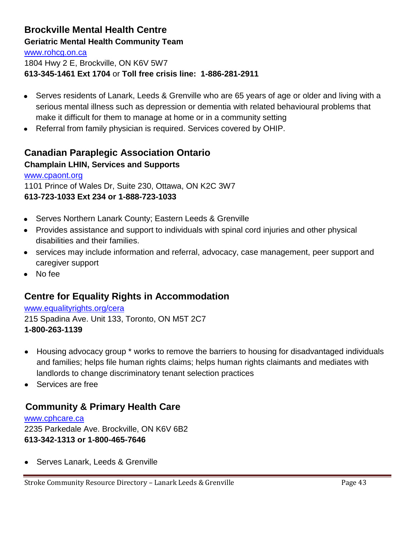### **Brockville Mental Health Centre**

#### **Geriatric Mental Health Community Team**

[www.rohcg.on.ca](http://www.rohcg.on.ca/) 1804 Hwy 2 E, Brockville, ON K6V 5W7 **613-345-1461 Ext 1704** or **Toll free crisis line: 1-886-281-2911**

- Serves residents of Lanark, Leeds & Grenville who are 65 years of age or older and living with a serious mental illness such as depression or dementia with related behavioural problems that make it difficult for them to manage at home or in a community setting
- Referral from family physician is required. Services covered by OHIP.  $\bullet$

### **Canadian Paraplegic Association Ontario Champlain LHIN, Services and Supports**

#### [www.cpaont.org](http://www.cpaont.org/)

1101 Prince of Wales Dr, Suite 230, Ottawa, ON K2C 3W7 **613-723-1033 Ext 234 or 1-888-723-1033**

- Serves Northern Lanark County; Eastern Leeds & Grenville
- Provides assistance and support to individuals with spinal cord injuries and other physical disabilities and their families.
- services may include information and referral, advocacy, case management, peer support and caregiver support
- No fee

### **Centre for Equality Rights in Accommodation**

#### [www.equalityrights.org/cera](http://www.equalityrights.org/cera) 215 Spadina Ave. Unit 133, Toronto, ON M5T 2C7 **1-800-263-1139**

- Housing advocacy group \* works to remove the barriers to housing for disadvantaged individuals  $\bullet$ and families; helps file human rights claims; helps human rights claimants and mediates with landlords to change discriminatory tenant selection practices
- Services are free

### **Community & Primary Health Care**

[www.cphcare.ca](http://www.cphcare.ca/) 2235 Parkedale Ave. Brockville, ON K6V 6B2 **613-342-1313 or 1-800-465-7646**

Serves Lanark, Leeds & Grenville  $\bullet$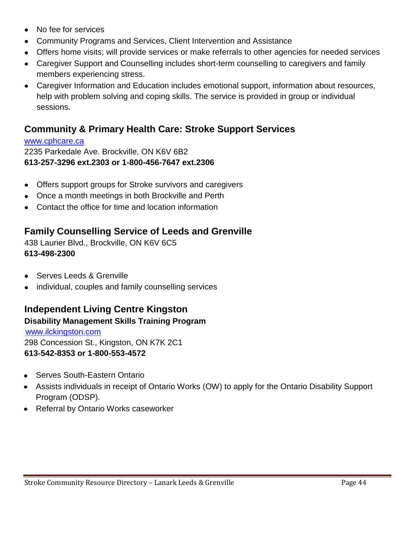- No fee for services  $\bullet$
- Community Programs and Services, Client Intervention and Assistance  $\bullet$
- Offers home visits; will provide services or make referrals to other agencies for needed services
- Caregiver Support and Counselling includes short-term counselling to caregivers and family members experiencing stress.
- Caregiver Information and Education includes emotional support, information about resources, help with problem solving and coping skills. The service is provided in group or individual sessions.

### **Community & Primary Health Care: Stroke Support Services**

#### [www.cphcare.ca](http://www.cphcare.ca/)

2235 Parkedale Ave. Brockville, ON K6V 6B2 **613-257-3296 ext.2303 or 1-800-456-7647 ext.2306**

- Offers support groups for Stroke survivors and caregivers  $\bullet$
- Once a month meetings in both Brockville and Perth  $\bullet$
- Contact the office for time and location information

### **Family Counselling Service of Leeds and Grenville**

438 Laurier Blvd., Brockville, ON K6V 6C5 **613-498-2300**

- Serves Leeds & Grenville  $\bullet$
- individual, couples and family counselling services

### **Independent Living Centre Kingston**

#### **Disability Management Skills Training Program**

[www.ilckingston.com](http://www.ilckingston.com/) 298 Concession St., Kingston, ON K7K 2C1 **613-542-8353 or 1-800-553-4572**

- Serves South-Eastern Ontario  $\bullet$
- Assists individuals in receipt of Ontario Works (OW) to apply for the Ontario Disability Support Program (ODSP).
- Referral by Ontario Works caseworker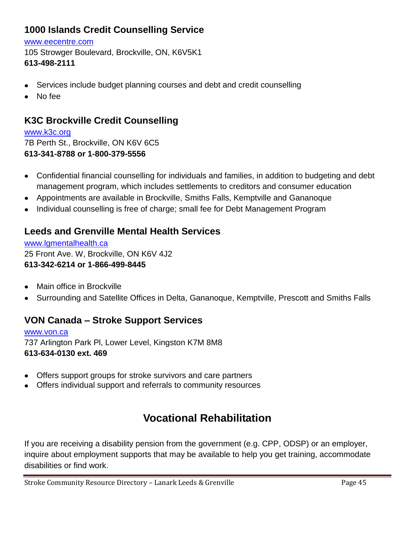### **[1000 Islands Credit Counselling Service](http://www.yellowpages.ca/bus/Ontario/Brockville/1000-Islands-Credit-Counselling-Service/2062512.html?adid=13854274ac&what=Counselling&where=Brockville%2C+ON&le=5a995d684a%7C814a76f94a%7C5a995d6c9a)**

#### [www.eecentre.com](http://www.eecentre.com/)

105 Strowger Boulevard, Brockville, ON, K6V5K1 **[613-498-2111](http://www.yellowpages.ca/search/si/1/Counselling/Brockville%2C+ON)** 

- Services include budget planning courses and debt and credit counselling
- No fee  $\bullet$

### **K3C Brockville Credit Counselling**

#### [www.k3c.org](http://www.k3c.org/)

7B Perth St., Brockville, ON K6V 6C5 **613-341-8788 or 1-800-379-5556**

- Confidential financial counselling for individuals and families, in addition to budgeting and debt  $\bullet$ management program, which includes settlements to creditors and consumer education
- Appointments are available in Brockville, Smiths Falls, Kemptville and Gananoque  $\bullet$
- Individual counselling is free of charge; small fee for Debt Management Program  $\bullet$

### **Leeds and Grenville Mental Health Services**

[www.lgmentalhealth.ca](http://www.lgmentalhealth.ca/) 25 Front Ave. W, Brockville, ON K6V 4J2 **613-342-6214 or 1-866-499-8445**

- Main office in Brockville  $\bullet$
- Surrounding and Satellite Offices in Delta, Gananoque, Kemptville, Prescott and Smiths Falls  $\bullet$

### **VON Canada – Stroke Support Services**

[www.von.ca](http://www.von.ca/) 737 Arlington Park Pl, Lower Level, Kingston K7M 8M8 **613-634-0130 ext. 469**

- Offers support groups for stroke survivors and care partners  $\bullet$
- Offers individual support and referrals to community resources

# **Vocational Rehabilitation**

If you are receiving a disability pension from the government (e.g. CPP, ODSP) or an employer, inquire about employment supports that may be available to help you get training, accommodate disabilities or find work.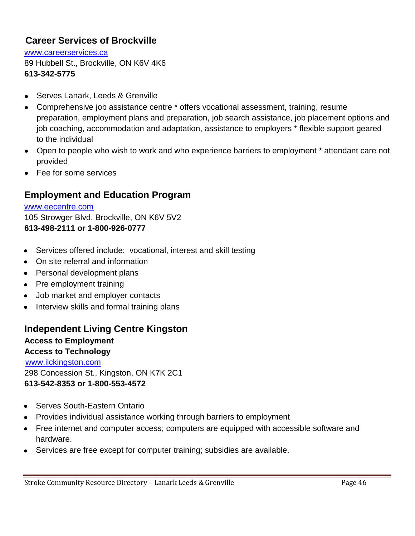### **Career Services of Brockville**

[www.careerservices.ca](http://www.careerservices.ca/) 89 Hubbell St., Brockville, ON K6V 4K6 **613-342-5775**

- Serves Lanark, Leeds & Grenville  $\bullet$
- Comprehensive job assistance centre \* offers vocational assessment, training, resume preparation, employment plans and preparation, job search assistance, job placement options and job coaching, accommodation and adaptation, assistance to employers \* flexible support geared to the individual
- Open to people who wish to work and who experience barriers to employment \* attendant care not provided
- Fee for some services

### **Employment and Education Program**

[www.eecentre.com](http://www.eecentre.com/) 105 Strowger Blvd. Brockville, ON K6V 5V2 **613-498-2111 or 1-800-926-0777**

- Services offered include: vocational, interest and skill testing
- On site referral and information
- Personal development plans
- Pre employment training
- Job market and employer contacts
- Interview skills and formal training plans

### **Independent Living Centre Kingston**

**Access to Employment Access to Technology**  [www.ilckingston.com](http://www.ilckingston.com/) 298 Concession St., Kingston, ON K7K 2C1 **613-542-8353 or 1-800-553-4572**

- Serves South-Eastern Ontario
- Provides individual assistance working through barriers to employment
- Free internet and computer access; computers are equipped with accessible software and hardware.
- Services are free except for computer training; subsidies are available.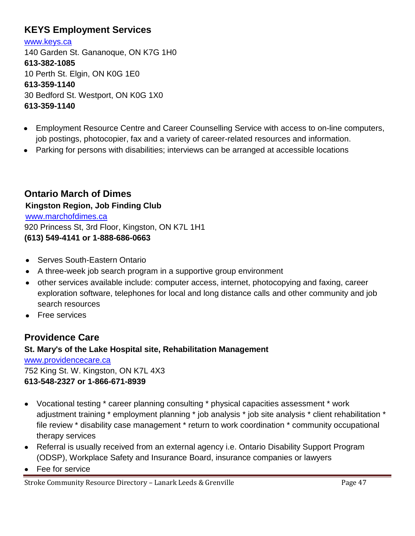### **[KEYS Employment Services](http://kingston.cioc.ca/bresults.asp?OL1=KEYS+Employment+Services)**

[www.keys.ca](http://www.keys.ca/) 140 Garden St. Gananoque, ON K7G 1H0 **613-382-1085** 10 Perth St. Elgin, ON K0G 1E0 **613-359-1140** 30 Bedford St. Westport, ON K0G 1X0 **613-359-1140**

- Employment Resource Centre and Career Counselling Service with access to on-line computers, job postings, photocopier, fax and a variety of career-related resources and information.
- Parking for persons with disabilities; interviews can be arranged at accessible locations

**Ontario March of Dimes Kingston Region, Job Finding Club** [www.marchofdimes.ca](http://www.marchofdimes.ca/) 920 Princess St, 3rd Floor, Kingston, ON K7L 1H1 **(613) 549-4141 or 1-888-686-0663**

- Serves South-Eastern Ontario
- A three-week job search program in a supportive group environment
- other services available include: computer access, internet, photocopying and faxing, career exploration software, telephones for local and long distance calls and other community and job search resources
- **Free services**

### **Providence Care**

#### **St. Mary's of the Lake Hospital site, Rehabilitation Management**

[www.providencecare.ca](http://www.providencecare.ca/) 752 King St. W. Kingston, ON K7L 4X3 **613-548-2327 or 1-866-671-8939**

- Vocational testing \* career planning consulting \* physical capacities assessment \* work adjustment training \* employment planning \* job analysis \* job site analysis \* client rehabilitation \* file review \* disability case management \* return to work coordination \* community occupational therapy services
- Referral is usually received from an external agency i.e. Ontario Disability Support Program (ODSP), Workplace Safety and Insurance Board, insurance companies or lawyers
- Fee for service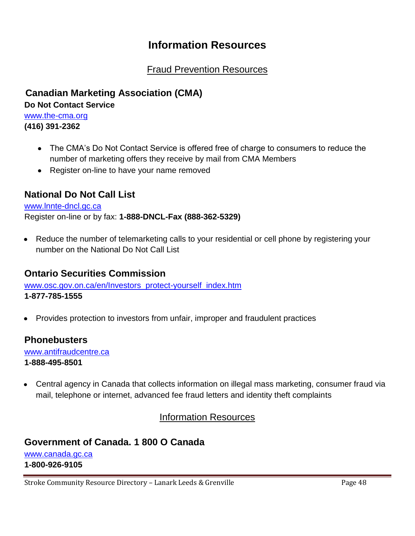## **Information Resources**

### Fraud Prevention Resources

**Canadian Marketing Association (CMA)**

**Do Not Contact Service**

[www.the-cma.org](http://www.the-cma.org/) **(416) 391-2362**

- The CMA's Do Not Contact Service is offered free of charge to consumers to reduce the number of marketing offers they receive by mail from CMA Members
- Register on-line to have your name removed

### **National Do Not Call List**

#### [www.lnnte-dncl.gc.ca](http://www.lnnte-dncl.gc.ca/)

Register on-line or by fax: **1-888-DNCL-Fax (888-362-5329)**

• Reduce the number of telemarketing calls to your residential or cell phone by registering your number on the National Do Not Call List

### **Ontario Securities Commission**

[www.osc.gov.on.ca/en/Investors\\_protect-yourself\\_index.htm](http://www.osc.gov.on.ca/en/Investors_protect-yourself_index.htm) **1-877-785-1555**

Provides protection to investors from unfair, improper and fraudulent practices  $\bullet$ 

### **Phonebusters**

[www.antifraudcentre.ca](http://www.antifraudcentre.ca/) **1-888-495-8501**

Central agency in Canada that collects information on illegal mass marketing, consumer fraud via  $\bullet$ mail, telephone or internet, advanced fee fraud letters and identity theft complaints

#### Information Resources

## **Government of Canada. 1 800 O Canada**

[www.canada.gc.ca](http://www.canada.gc.ca/) **1-800-926-9105**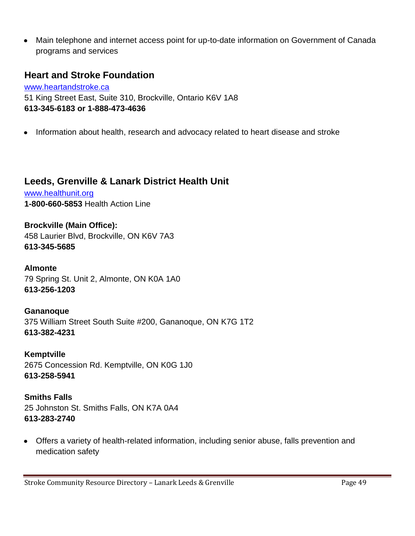Main telephone and internet access point for up-to-date information on Government of Canada programs and services

### **Heart and Stroke Foundation**

www.heartandstroke.ca 51 King Street East, Suite 310, Brockville, Ontario K6V 1A8 **613-345-6183 or 1-888-473-4636**

Information about health, research and advocacy related to heart disease and stroke  $\bullet$ 

### **Leeds, Grenville & Lanark District Health Unit**

[www.healthunit.org](http://www.healthunit.org/) **1-800-660-5853** Health Action Line

**Brockville (Main Office):** 458 Laurier Blvd, Brockville, ON K6V 7A3 **613-345-5685**

**Almonte** 79 Spring St. Unit 2, Almonte, ON K0A 1A0 **613-256-1203**

**Gananoque** 375 William Street South Suite #200, Gananoque, ON K7G 1T2 **613-382-4231**

**Kemptville** 2675 Concession Rd. Kemptville, ON K0G 1J0 **613-258-5941**

**Smiths Falls** 25 Johnston St. Smiths Falls, ON K7A 0A4 **613-283-2740**

Offers a variety of health-related information, including senior abuse, falls prevention and medication safety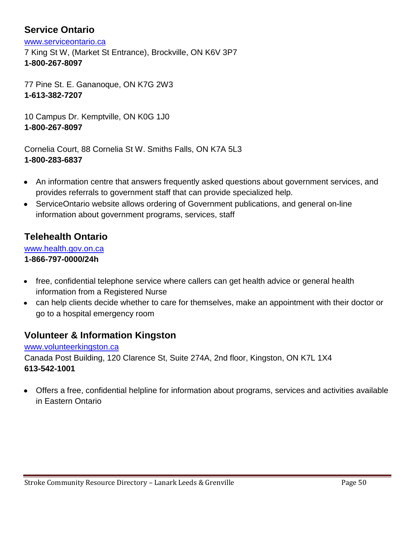### **Service Ontario**

[www.serviceontario.ca](http://www.serviceontario.ca/)

7 King St W, (Market St Entrance), Brockville, ON K6V 3P7 **1-800-267-8097**

77 Pine St. E. Gananoque, ON K7G 2W3 **1-613-382-7207**

10 Campus Dr. Kemptville, ON K0G 1J0 **1-800-267-8097**

Cornelia Court, 88 Cornelia St W. Smiths Falls, ON K7A 5L3 **1-800-283-6837** 

- An information centre that answers frequently asked questions about government services, and  $\bullet$ provides referrals to government staff that can provide specialized help.
- ServiceOntario website allows ordering of Government publications, and general on-line information about government programs, services, staff

### **Telehealth Ontario**

[www.health.gov.on.ca](http://www.health.gov.on.ca/) **1-866-797-0000/24h**

- free, confidential telephone service where callers can get health advice or general health information from a Registered Nurse
- can help clients decide whether to care for themselves, make an appointment with their doctor or go to a hospital emergency room

### **Volunteer & Information Kingston**

[www.volunteerkingston.ca](http://www.volunteerkingston.ca/) Canada Post Building, 120 Clarence St, Suite 274A, 2nd floor, Kingston, ON K7L 1X4 **613-542-1001**

Offers a free, confidential helpline for information about programs, services and activities available  $\bullet$ in Eastern Ontario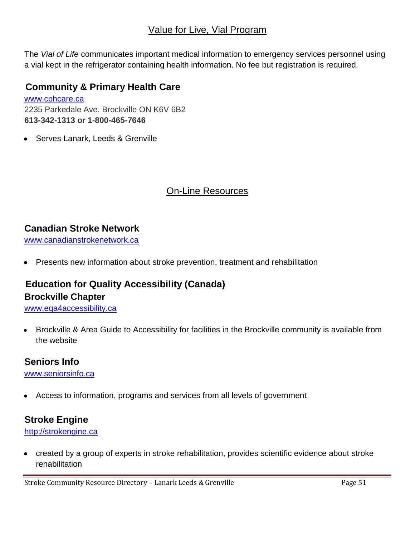### Value for Live, Vial Program

The *Vial of Life* communicates important medical information to emergency services personnel using a vial kept in the refrigerator containing health information. No fee but registration is required.

### **[Community & Primary Health Care](http://kingston.cioc.ca/bresults.asp?UseCICVw=57&OL1=Community+%26+Primary+Health+Care)**

[www.cphcare.ca](http://www.cphcare.ca/) 2235 Parkedale Ave. Brockville ON K6V 6B2 **613-342-1313 or 1-800-465-7646**

Serves Lanark, Leeds & Grenville

### On-Line Resources

#### **Canadian Stroke Network**

[www.canadianstrokenetwork.ca](http://www.canadianstrokenetwork.ca/)

Presents new information about stroke prevention, treatment and rehabilitation  $\bullet$ 

### **Education for Quality Accessibility (Canada) Brockville Chapter**

[www.eqa4accessibility.ca](http://www.eqa4accessibility.ca/)

Brockville & Area Guide to Accessibility for facilities in the Brockville community is available from  $\bullet$ the website

### **Seniors Info**

[www.seniorsinfo.ca](http://www.seniorsinfo.ca/)

Access to information, programs and services from all levels of government

### **Stroke Engine**

[http://strokengine.ca](http://strokengine.ca/)

created by a group of experts in stroke rehabilitation, provides scientific evidence about stroke  $\bullet$ rehabilitation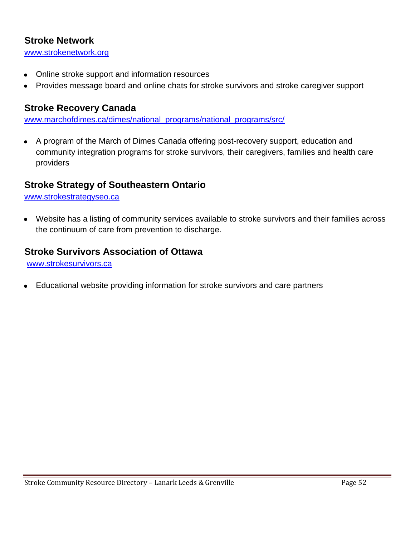### **Stroke Network**

[www.strokenetwork.org](http://www.strokenetwork.org/)

- Online stroke support and information resources  $\bullet$
- Provides message board and online chats for stroke survivors and stroke caregiver support

### **Stroke Recovery Canada**

[www.marchofdimes.ca/dimes/national\\_programs/national\\_programs/src/](http://www.marchofdimes.ca/dimes/national_programs/national_programs/src/)

A program of the March of Dimes Canada offering post-recovery support, education and  $\bullet$ community integration programs for stroke survivors, their caregivers, families and health care providers

### **Stroke Strategy of Southeastern Ontario**

#### [www.strokestrategyseo.ca](http://www.strokestrategyseo.ca/)

Website has a listing of community services available to stroke survivors and their families across  $\bullet$ the continuum of care from prevention to discharge.

### **Stroke Survivors Association of Ottawa**

www.strokesurvivors.ca

Educational website providing information for stroke survivors and care partners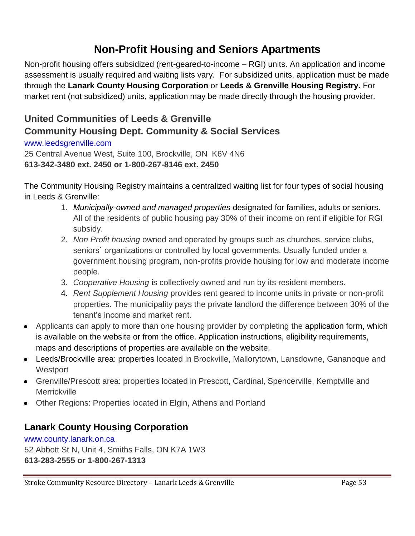# **Non-Profit Housing and Seniors Apartments**

Non-profit housing offers subsidized (rent-geared-to-income – RGI) units. An application and income assessment is usually required and waiting lists vary. For subsidized units, application must be made through the **Lanark County Housing Corporation** or **Leeds & Grenville Housing Registry.** For market rent (not subsidized) units, application may be made directly through the housing provider.

### **United Communities of Leeds & Grenville Community Housing Dept. Community & Social Services**

#### [www.leedsgrenville.com](http://www.leedsgrenville.com/)

25 Central Avenue West, Suite 100, Brockville, ON K6V 4N6 **613-342-3480 ext. 2450 or 1-800-267-8146 ext. 2450**

The Community Housing Registry maintains a centralized waiting list for four types of social housing in Leeds & Grenville:

- 1. *Municipally-owned and managed properties* designated for families, adults or seniors. All of the residents of public housing pay 30% of their income on rent if eligible for RGI subsidy.
- 2. *Non Profit housing* owned and operated by groups such as churches, service clubs, seniors´ organizations or controlled by local governments. Usually funded under a government housing program, non-profits provide housing for low and moderate income people.
- 3. *Cooperative Housing* is collectively owned and run by its resident members.
- 4. *Rent Supplement Housing* provides rent geared to income units in private or non-profit properties. The municipality pays the private landlord the difference between 30% of the tenant's income and market rent.
- Applicants can apply to more than one housing provider by completing the [application form,](http://www.leedsandgrenville.ca/en/services/resources/ApplicationForInclusionOnTheSocialHousingWaitListMay2007.doc) which is available on the website or from the office. Application instructions, eligibility requirements, maps and descriptions of properties are available on the website.
- Leeds/Brockville area: properties located in Brockville, Mallorytown, Lansdowne, Gananoque and **Westport**
- Grenville/Prescott area: properties located in Prescott, Cardinal, Spencerville, Kemptville and **Merrickville**
- Other Regions: Properties located in Elgin, Athens and Portland

### **Lanark County Housing Corporation**

[www.county.lanark.on.ca](http://www.county.lanark.on.ca/) 52 Abbott St N, Unit 4, Smiths Falls, ON K7A 1W3 **613-283-2555 or 1-800-267-1313**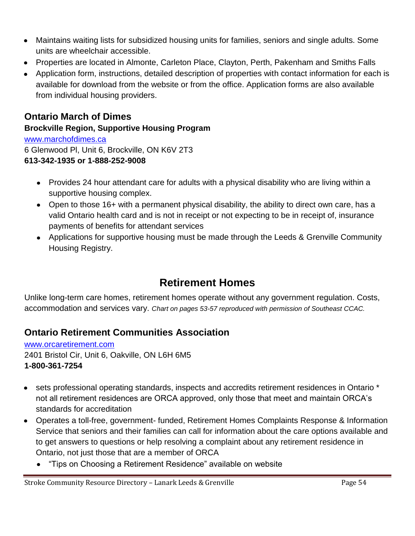- Maintains waiting lists for subsidized housing units for families, seniors and single adults. Some units are wheelchair accessible.
- Properties are located in Almonte, Carleton Place, Clayton, Perth, Pakenham and Smiths Falls
- Application form, instructions, detailed description of properties with contact information for each is available for download from the website or from the office. Application forms are also available from individual housing providers.

### **Ontario March of Dimes**

#### **Brockville Region, Supportive Housing Program**

[www.marchofdimes.ca](http://www.marchofdimes.ca/) 6 Glenwood Pl, Unit 6, Brockville, ON K6V 2T3 **613-342-1935 or 1-888-252-9008**

- Provides 24 hour attendant care for adults with a physical disability who are living within a supportive housing complex.
- Open to those 16+ with a permanent physical disability, the ability to direct own care, has a valid Ontario health card and is not in receipt or not expecting to be in receipt of, insurance payments of benefits for attendant services
- Applications for supportive housing must be made through the Leeds & Grenville Community Housing Registry.

# **Retirement Homes**

Unlike long-term care homes, retirement homes operate without any government regulation. Costs, accommodation and services vary. *Chart on pages 53-57 reproduced with permission of Southeast CCAC.*

### **Ontario Retirement Communities Association**

[www.orcaretirement.com](http://www.orcaretirement.com/) 2401 Bristol Cir, Unit 6, Oakville, ON L6H 6M5 **1-800-361-7254**

- sets professional operating standards, inspects and accredits retirement residences in Ontario \* not all retirement residences are ORCA approved, only those that meet and maintain ORCA's standards for accreditation
- Operates a toll-free, government- funded, Retirement Homes Complaints Response & Information Service that seniors and their families can call for information about the care options available and to get answers to questions or help resolving a complaint about any retirement residence in Ontario, not just those that are a member of ORCA
	- "Tips on Choosing a Retirement Residence" available on website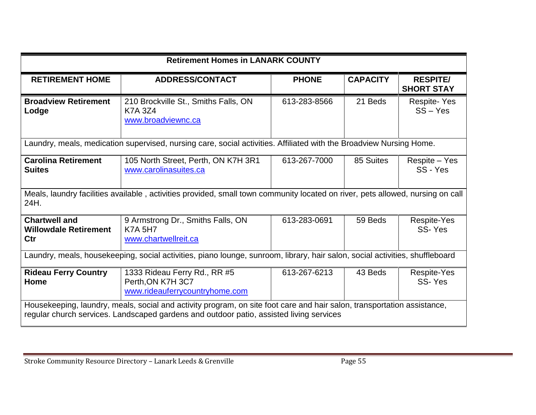| <b>Retirement Homes in LANARK COUNTY</b>                    |                                                                                                                                                                                                                                                      |              |                       |                                      |  |  |  |
|-------------------------------------------------------------|------------------------------------------------------------------------------------------------------------------------------------------------------------------------------------------------------------------------------------------------------|--------------|-----------------------|--------------------------------------|--|--|--|
| <b>RETIREMENT HOME</b>                                      | <b>ADDRESS/CONTACT</b>                                                                                                                                                                                                                               | <b>PHONE</b> | <b>CAPACITY</b>       | <b>RESPITE/</b><br><b>SHORT STAY</b> |  |  |  |
| <b>Broadview Retirement</b><br>Lodge                        | 210 Brockville St., Smiths Falls, ON<br><b>K7A 3Z4</b><br>www.broadviewnc.ca                                                                                                                                                                         | 613-283-8566 | 21 Beds               | <b>Respite-Yes</b><br>$SS - Yes$     |  |  |  |
|                                                             | Laundry, meals, medication supervised, nursing care, social activities. Affiliated with the Broadview Nursing Home.                                                                                                                                  |              |                       |                                      |  |  |  |
| <b>Carolina Retirement</b><br><b>Suites</b>                 | 105 North Street, Perth, ON K7H 3R1<br>www.carolinasuites.ca                                                                                                                                                                                         | 613-267-7000 | 85 Suites             | Respite – Yes<br>SS - Yes            |  |  |  |
| 24H.                                                        | Meals, laundry facilities available, activities provided, small town community located on river, pets allowed, nursing on call                                                                                                                       |              |                       |                                      |  |  |  |
| <b>Chartwell and</b><br><b>Willowdale Retirement</b><br>Ctr | 9 Armstrong Dr., Smiths Falls, ON<br>613-283-0691<br><b>K7A 5H7</b><br>www.chartwellreit.ca                                                                                                                                                          |              | 59 Beds               | Respite-Yes<br>SS-Yes                |  |  |  |
|                                                             | Laundry, meals, housekeeping, social activities, piano lounge, sunroom, library, hair salon, social activities, shuffleboard                                                                                                                         |              |                       |                                      |  |  |  |
| <b>Rideau Ferry Country</b><br>Home                         | 613-267-6213                                                                                                                                                                                                                                         | 43 Beds      | Respite-Yes<br>SS-Yes |                                      |  |  |  |
|                                                             | www.rideauferrycountryhome.com<br>Housekeeping, laundry, meals, social and activity program, on site foot care and hair salon, transportation assistance,<br>regular church services. Landscaped gardens and outdoor patio, assisted living services |              |                       |                                      |  |  |  |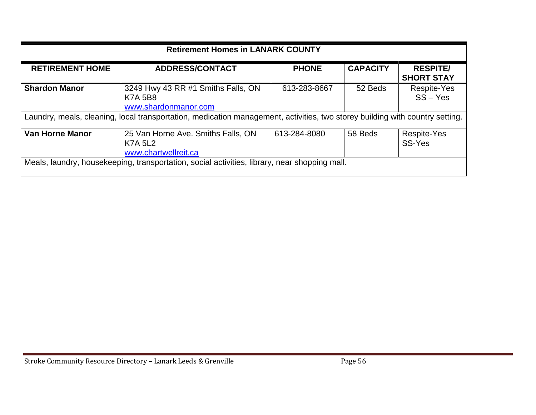| <b>Retirement Homes in LANARK COUNTY</b>                                                      |                                                                                                                              |                                      |         |                              |  |  |  |
|-----------------------------------------------------------------------------------------------|------------------------------------------------------------------------------------------------------------------------------|--------------------------------------|---------|------------------------------|--|--|--|
| <b>RETIREMENT HOME</b>                                                                        | <b>CAPACITY</b>                                                                                                              | <b>RESPITE/</b><br><b>SHORT STAY</b> |         |                              |  |  |  |
| <b>Shardon Manor</b>                                                                          | 3249 Hwy 43 RR #1 Smiths Falls, ON<br><b>K7A 5B8</b><br>www.shardonmanor.com                                                 | 613-283-8667                         | 52 Beds | Respite-Yes<br>$SS - Yes$    |  |  |  |
|                                                                                               | Laundry, meals, cleaning, local transportation, medication management, activities, two storey building with country setting. |                                      |         |                              |  |  |  |
| Van Horne Manor                                                                               | 25 Van Horne Ave. Smiths Falls, ON<br><b>K7A 5L2</b><br>www.chartwellreit.ca                                                 | 613-284-8080                         | 58 Beds | <b>Respite-Yes</b><br>SS-Yes |  |  |  |
| Meals, laundry, housekeeping, transportation, social activities, library, near shopping mall. |                                                                                                                              |                                      |         |                              |  |  |  |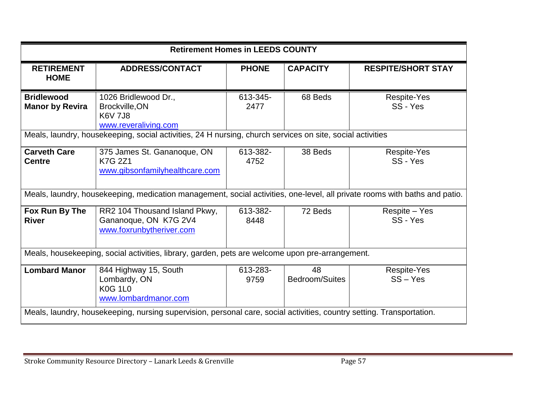| <b>Retirement Homes in LEEDS COUNTY</b>                                                                               |                                                                                                                                                                                               |                  |                      |                           |  |  |  |
|-----------------------------------------------------------------------------------------------------------------------|-----------------------------------------------------------------------------------------------------------------------------------------------------------------------------------------------|------------------|----------------------|---------------------------|--|--|--|
| <b>RETIREMENT</b><br><b>HOME</b>                                                                                      | <b>ADDRESS/CONTACT</b>                                                                                                                                                                        | <b>PHONE</b>     | <b>CAPACITY</b>      | <b>RESPITE/SHORT STAY</b> |  |  |  |
| <b>Bridlewood</b><br><b>Manor by Revira</b>                                                                           | 1026 Bridlewood Dr.,<br>Brockville, ON<br><b>K6V 7J8</b><br>www.reveraliving.com<br>Meals, laundry, housekeeping, social activities, 24 H nursing, church services on site, social activities | 613-345-<br>2477 | 68 Beds              | Respite-Yes<br>SS - Yes   |  |  |  |
| <b>Carveth Care</b><br><b>Centre</b>                                                                                  | 375 James St. Gananoque, ON<br><b>K7G 2Z1</b><br>www.gibsonfamilyhealthcare.com                                                                                                               | 613-382-<br>4752 | 38 Beds              | Respite-Yes<br>SS - Yes   |  |  |  |
|                                                                                                                       | Meals, laundry, housekeeping, medication management, social activities, one-level, all private rooms with baths and patio.                                                                    |                  |                      |                           |  |  |  |
| Fox Run By The<br><b>River</b>                                                                                        | RR2 104 Thousand Island Pkwy,<br>Gananoque, ON K7G 2V4<br>www.foxrunbytheriver.com                                                                                                            | 613-382-<br>8448 | 72 Beds              | Respite - Yes<br>SS - Yes |  |  |  |
|                                                                                                                       | Meals, housekeeping, social activities, library, garden, pets are welcome upon pre-arrangement.                                                                                               |                  |                      |                           |  |  |  |
| <b>Lombard Manor</b>                                                                                                  | 844 Highway 15, South<br>Lombardy, ON<br><b>K0G 1L0</b><br>www.lombardmanor.com                                                                                                               | 613-283-<br>9759 | 48<br>Bedroom/Suites | Respite-Yes<br>$SS - Yes$ |  |  |  |
| Meals, laundry, housekeeping, nursing supervision, personal care, social activities, country setting. Transportation. |                                                                                                                                                                                               |                  |                      |                           |  |  |  |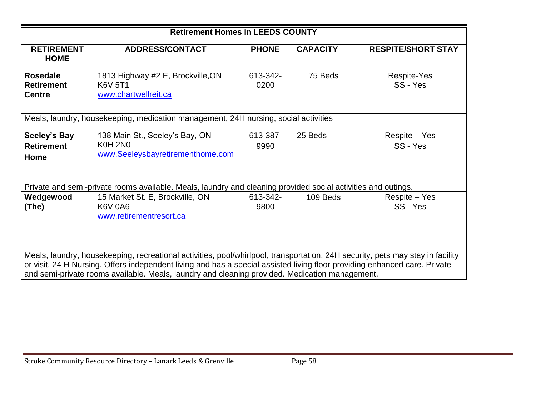| <b>Retirement Homes in LEEDS COUNTY</b>                                                                                                                                                                                                                                                                                                                        |                                                                                                               |                  |                 |                           |  |  |  |  |
|----------------------------------------------------------------------------------------------------------------------------------------------------------------------------------------------------------------------------------------------------------------------------------------------------------------------------------------------------------------|---------------------------------------------------------------------------------------------------------------|------------------|-----------------|---------------------------|--|--|--|--|
| <b>RETIREMENT</b><br><b>HOME</b>                                                                                                                                                                                                                                                                                                                               | <b>ADDRESS/CONTACT</b>                                                                                        | <b>PHONE</b>     | <b>CAPACITY</b> | <b>RESPITE/SHORT STAY</b> |  |  |  |  |
| <b>Rosedale</b><br><b>Retirement</b><br><b>Centre</b>                                                                                                                                                                                                                                                                                                          | 1813 Highway #2 E, Brockville, ON<br><b>K6V 5T1</b><br>www.chartwellreit.ca                                   | 613-342-<br>0200 | 75 Beds         | Respite-Yes<br>SS - Yes   |  |  |  |  |
|                                                                                                                                                                                                                                                                                                                                                                | Meals, laundry, housekeeping, medication management, 24H nursing, social activities                           |                  |                 |                           |  |  |  |  |
| Seeley's Bay<br><b>Retirement</b><br>Home                                                                                                                                                                                                                                                                                                                      | 138 Main St., Seeley's Bay, ON<br><b>K0H 2N0</b><br>www.Seeleysbayretirementhome.com                          | 613-387-<br>9990 | 25 Beds         | Respite - Yes<br>SS - Yes |  |  |  |  |
|                                                                                                                                                                                                                                                                                                                                                                | Private and semi-private rooms available. Meals, laundry and cleaning provided social activities and outings. |                  |                 |                           |  |  |  |  |
| Wedgewood<br>(The)                                                                                                                                                                                                                                                                                                                                             | 15 Market St. E, Brockville, ON<br><b>K6V 0A6</b><br>www.retirementresort.ca                                  | 613-342-<br>9800 | 109 Beds        | Respite – Yes<br>SS - Yes |  |  |  |  |
| Meals, laundry, housekeeping, recreational activities, pool/whirlpool, transportation, 24H security, pets may stay in facility<br>or visit, 24 H Nursing. Offers independent living and has a special assisted living floor providing enhanced care. Private<br>and semi-private rooms available. Meals, laundry and cleaning provided. Medication management. |                                                                                                               |                  |                 |                           |  |  |  |  |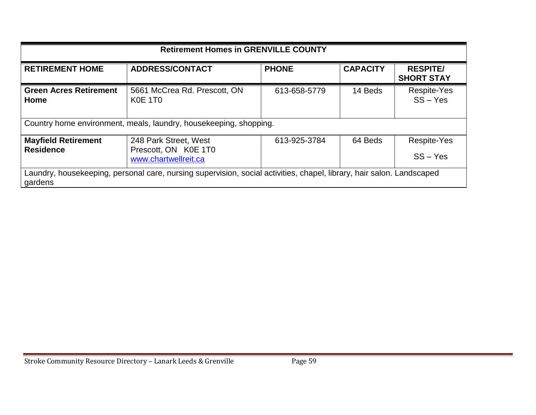| <b>Retirement Homes in GRENVILLE COUNTY</b>                                                                                      |                                                                   |              |                           |                                      |  |  |  |
|----------------------------------------------------------------------------------------------------------------------------------|-------------------------------------------------------------------|--------------|---------------------------|--------------------------------------|--|--|--|
| <b>RETIREMENT HOME</b>                                                                                                           | <b>PHONE</b><br><b>ADDRESS/CONTACT</b>                            |              | <b>CAPACITY</b>           | <b>RESPITE/</b><br><b>SHORT STAY</b> |  |  |  |
| <b>Green Acres Retirement</b><br>Home                                                                                            | 5661 McCrea Rd. Prescott, ON<br><b>K0E 1T0</b>                    | 613-658-5779 | 14 Beds                   | Respite-Yes<br>$SS - Yes$            |  |  |  |
|                                                                                                                                  | Country home environment, meals, laundry, housekeeping, shopping. |              |                           |                                      |  |  |  |
| <b>Mayfield Retirement</b><br><b>Residence</b>                                                                                   | 613-925-3784                                                      | 64 Beds      | Respite-Yes<br>$SS - Yes$ |                                      |  |  |  |
| Laundry, housekeeping, personal care, nursing supervision, social activities, chapel, library, hair salon. Landscaped<br>gardens |                                                                   |              |                           |                                      |  |  |  |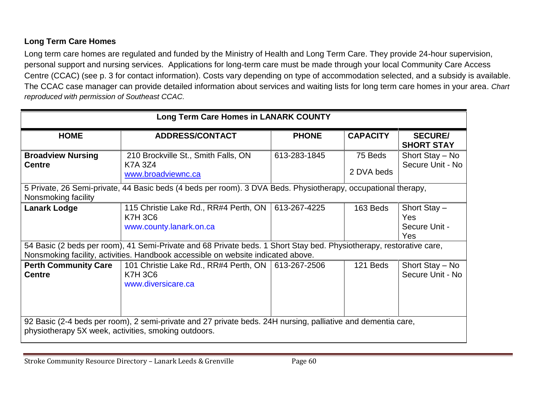#### **Long Term Care Homes**

Long term care homes are regulated and funded by the Ministry of Health and Long Term Care. They provide 24-hour supervision, personal support and nursing services. Applications for long-term care must be made through your local Community Care Access Centre (CCAC) (see p. 3 for contact information). Costs vary depending on type of accommodation selected, and a subsidy is available. The CCAC case manager can provide detailed information about services and waiting lists for long term care homes in your area. *Chart reproduced with permission of Southeast CCAC.*

| Long Term Care Homes in LANARK COUNTY                                                                                                                                                           |                                                                                                                                                                                                         |              |                       |                                             |  |  |  |
|-------------------------------------------------------------------------------------------------------------------------------------------------------------------------------------------------|---------------------------------------------------------------------------------------------------------------------------------------------------------------------------------------------------------|--------------|-----------------------|---------------------------------------------|--|--|--|
| <b>HOME</b>                                                                                                                                                                                     | <b>ADDRESS/CONTACT</b>                                                                                                                                                                                  | <b>PHONE</b> | <b>CAPACITY</b>       | <b>SECURE/</b><br><b>SHORT STAY</b>         |  |  |  |
| <b>Broadview Nursing</b><br><b>Centre</b>                                                                                                                                                       | 210 Brockville St., Smith Falls, ON<br><b>K7A 3Z4</b><br>www.broadviewnc.ca                                                                                                                             | 613-283-1845 | 75 Beds<br>2 DVA beds | Short Stay - No<br>Secure Unit - No         |  |  |  |
| Nonsmoking facility                                                                                                                                                                             | 5 Private, 26 Semi-private, 44 Basic beds (4 beds per room). 3 DVA Beds. Physiotherapy, occupational therapy,                                                                                           |              |                       |                                             |  |  |  |
| <b>Lanark Lodge</b>                                                                                                                                                                             | 115 Christie Lake Rd., RR#4 Perth, ON  <br><b>K7H 3C6</b><br>www.county.lanark.on.ca                                                                                                                    | 613-267-4225 | 163 Beds              | Short Stay -<br>Yes<br>Secure Unit -<br>Yes |  |  |  |
|                                                                                                                                                                                                 | 54 Basic (2 beds per room), 41 Semi-Private and 68 Private beds. 1 Short Stay bed. Physiotherapy, restorative care,<br>Nonsmoking facility, activities. Handbook accessible on website indicated above. |              |                       |                                             |  |  |  |
| <b>Perth Community Care</b><br>101 Christie Lake Rd., RR#4 Perth, ON   613-267-2506<br>Short Stay - No<br>121 Beds<br>Secure Unit - No<br><b>Centre</b><br><b>K7H 3C6</b><br>www.diversicare.ca |                                                                                                                                                                                                         |              |                       |                                             |  |  |  |
| 92 Basic (2-4 beds per room), 2 semi-private and 27 private beds. 24H nursing, palliative and dementia care,<br>physiotherapy 5X week, activities, smoking outdoors.                            |                                                                                                                                                                                                         |              |                       |                                             |  |  |  |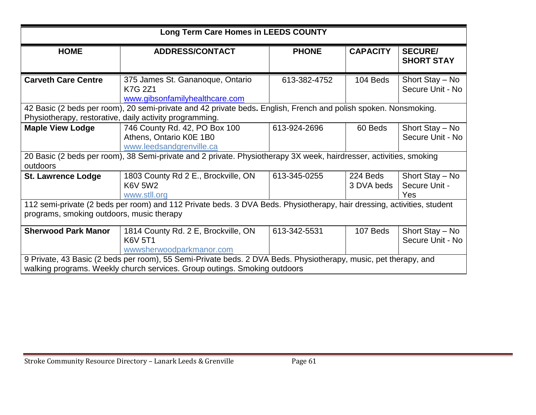| Long Term Care Homes in LEEDS COUNTY                                                                                                                                |                                                                                                                                                                                              |              |                                     |                                         |  |  |  |
|---------------------------------------------------------------------------------------------------------------------------------------------------------------------|----------------------------------------------------------------------------------------------------------------------------------------------------------------------------------------------|--------------|-------------------------------------|-----------------------------------------|--|--|--|
| <b>HOME</b>                                                                                                                                                         | <b>ADDRESS/CONTACT</b>                                                                                                                                                                       | <b>PHONE</b> | <b>CAPACITY</b>                     | <b>SECURE/</b><br><b>SHORT STAY</b>     |  |  |  |
| <b>Carveth Care Centre</b>                                                                                                                                          | 375 James St. Gananoque, Ontario<br>K7G 2Z1<br>www.gibsonfamilyhealthcare.com                                                                                                                | 613-382-4752 | 104 Beds                            | Short Stay - No<br>Secure Unit - No     |  |  |  |
|                                                                                                                                                                     | 42 Basic (2 beds per room), 20 semi-private and 42 private beds. English, French and polish spoken. Nonsmoking.<br>Physiotherapy, restorative, daily activity programming.                   |              |                                     |                                         |  |  |  |
| <b>Maple View Lodge</b>                                                                                                                                             | 746 County Rd. 42, PO Box 100<br>Athens, Ontario K0E 1B0<br>www.leedsandgrenville.ca                                                                                                         | 613-924-2696 | 60 Beds                             | Short Stay - No<br>Secure Unit - No     |  |  |  |
| outdoors                                                                                                                                                            | 20 Basic (2 beds per room), 38 Semi-private and 2 private. Physiotherapy 3X week, hairdresser, activities, smoking                                                                           |              |                                     |                                         |  |  |  |
| <b>St. Lawrence Lodge</b>                                                                                                                                           | 1803 County Rd 2 E., Brockville, ON<br><b>K6V 5W2</b><br>www.stll.org                                                                                                                        | 613-345-0255 | 224 Beds<br>3 DVA beds              | Short Stay - No<br>Secure Unit -<br>Yes |  |  |  |
| 112 semi-private (2 beds per room) and 112 Private beds. 3 DVA Beds. Physiotherapy, hair dressing, activities, student<br>programs, smoking outdoors, music therapy |                                                                                                                                                                                              |              |                                     |                                         |  |  |  |
| <b>Sherwood Park Manor</b>                                                                                                                                          | 613-342-5531                                                                                                                                                                                 | 107 Beds     | Short Stay - No<br>Secure Unit - No |                                         |  |  |  |
|                                                                                                                                                                     | 9 Private, 43 Basic (2 beds per room), 55 Semi-Private beds. 2 DVA Beds. Physiotherapy, music, pet therapy, and<br>walking programs. Weekly church services. Group outings. Smoking outdoors |              |                                     |                                         |  |  |  |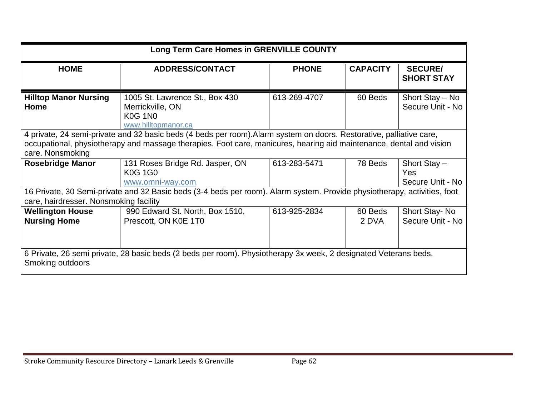| Long Term Care Homes in GRENVILLE COUNTY                                                                                                                                                                                                                        |                                                                                             |              |                  |                                         |  |  |  |
|-----------------------------------------------------------------------------------------------------------------------------------------------------------------------------------------------------------------------------------------------------------------|---------------------------------------------------------------------------------------------|--------------|------------------|-----------------------------------------|--|--|--|
| <b>HOME</b>                                                                                                                                                                                                                                                     | <b>ADDRESS/CONTACT</b>                                                                      | <b>PHONE</b> | <b>CAPACITY</b>  | <b>SECURE/</b><br><b>SHORT STAY</b>     |  |  |  |
| <b>Hilltop Manor Nursing</b><br>Home                                                                                                                                                                                                                            | 1005 St. Lawrence St., Box 430<br>Merrickville, ON<br><b>K0G 1N0</b><br>www.hilltopmanor.ca | 613-269-4707 | 60 Beds          | Short Stay - No<br>Secure Unit - No     |  |  |  |
| 4 private, 24 semi-private and 32 basic beds (4 beds per room). Alarm system on doors. Restorative, palliative care,<br>occupational, physiotherapy and massage therapies. Foot care, manicures, hearing aid maintenance, dental and vision<br>care. Nonsmoking |                                                                                             |              |                  |                                         |  |  |  |
| <b>Rosebridge Manor</b>                                                                                                                                                                                                                                         | 131 Roses Bridge Rd. Jasper, ON<br><b>K0G 1G0</b><br>www.omni-way.com                       | 613-283-5471 | 78 Beds          | Short Stay -<br>Yes<br>Secure Unit - No |  |  |  |
| 16 Private, 30 Semi-private and 32 Basic beds (3-4 beds per room). Alarm system. Provide physiotherapy, activities, foot<br>care, hairdresser. Nonsmoking facility                                                                                              |                                                                                             |              |                  |                                         |  |  |  |
| <b>Wellington House</b><br><b>Nursing Home</b>                                                                                                                                                                                                                  | 990 Edward St. North, Box 1510,<br>Prescott, ON K0E 1T0                                     | 613-925-2834 | 60 Beds<br>2 DVA | Short Stay-No<br>Secure Unit - No       |  |  |  |
| 6 Private, 26 semi private, 28 basic beds (2 beds per room). Physiotherapy 3x week, 2 designated Veterans beds.<br>Smoking outdoors                                                                                                                             |                                                                                             |              |                  |                                         |  |  |  |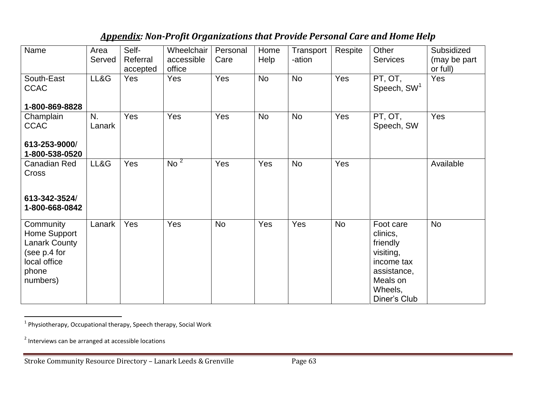### *Appendix: Non-Profit Organizations that Provide Personal Care and Home Help*

| Name                                                                                                   | Area<br>Served | Self-<br>Referral<br>accepted | Wheelchair<br>accessible<br>office | Personal<br>Care | Home<br>Help | Transport<br>-ation | Respite   | Other<br><b>Services</b>                                                                                           | Subsidized<br>(may be part<br>or full) |
|--------------------------------------------------------------------------------------------------------|----------------|-------------------------------|------------------------------------|------------------|--------------|---------------------|-----------|--------------------------------------------------------------------------------------------------------------------|----------------------------------------|
| South-East<br><b>CCAC</b>                                                                              | LL&G           | <b>Yes</b>                    | Yes                                | Yes              | <b>No</b>    | <b>No</b>           | Yes       | PT, OT,<br>Speech, SW <sup>1</sup>                                                                                 | Yes                                    |
| 1-800-869-8828<br>Champlain<br><b>CCAC</b><br>613-253-9000/<br>1-800-538-0520                          | N.<br>Lanark   | Yes                           | Yes                                | Yes              | No           | <b>No</b>           | Yes       | PT, OT,<br>Speech, SW                                                                                              | Yes                                    |
| Canadian Red<br><b>Cross</b><br>613-342-3524/<br>1-800-668-0842                                        | LL&G           | Yes                           | $\overline{N}$ No $^2$             | Yes              | Yes          | <b>No</b>           | Yes       |                                                                                                                    | Available                              |
| Community<br>Home Support<br><b>Lanark County</b><br>(see p.4 for<br>local office<br>phone<br>numbers) | Lanark         | Yes                           | Yes                                | <b>No</b>        | Yes          | Yes                 | <b>No</b> | Foot care<br>clinics,<br>friendly<br>visiting,<br>income tax<br>assistance,<br>Meals on<br>Wheels,<br>Diner's Club | <b>No</b>                              |

 1 Physiotherapy, Occupational therapy, Speech therapy, Social Work

<sup>&</sup>lt;sup>2</sup> Interviews can be arranged at accessible locations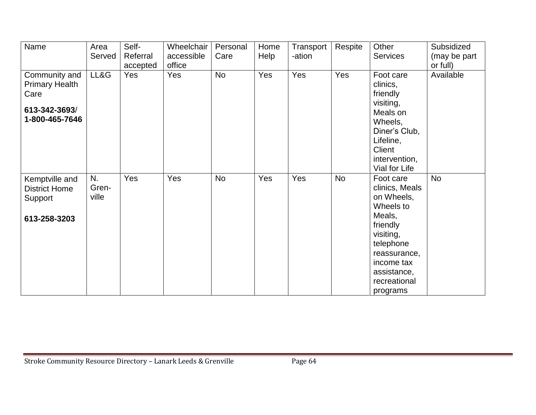| Name                                                                              | Area<br>Served       | Self-<br>Referral | Wheelchair<br>accessible | Personal<br>Care | Home<br>Help | Transport<br>-ation | Respite   | Other<br><b>Services</b>                                                                                                                                                        | Subsidized<br>(may be part |
|-----------------------------------------------------------------------------------|----------------------|-------------------|--------------------------|------------------|--------------|---------------------|-----------|---------------------------------------------------------------------------------------------------------------------------------------------------------------------------------|----------------------------|
|                                                                                   |                      | accepted          | office                   |                  |              |                     |           |                                                                                                                                                                                 | or full)                   |
| Community and<br><b>Primary Health</b><br>Care<br>613-342-3693/<br>1-800-465-7646 | LL&G                 | Yes               | Yes                      | <b>No</b>        | Yes          | Yes                 | Yes       | Foot care<br>clinics,<br>friendly<br>visiting,<br>Meals on<br>Wheels,<br>Diner's Club,<br>Lifeline,<br>Client<br>intervention,<br>Vial for Life                                 | Available                  |
| Kemptville and<br><b>District Home</b><br>Support<br>613-258-3203                 | N.<br>Gren-<br>ville | Yes               | Yes                      | <b>No</b>        | Yes          | Yes                 | <b>No</b> | Foot care<br>clinics, Meals<br>on Wheels,<br>Wheels to<br>Meals,<br>friendly<br>visiting,<br>telephone<br>reassurance,<br>income tax<br>assistance,<br>recreational<br>programs | <b>No</b>                  |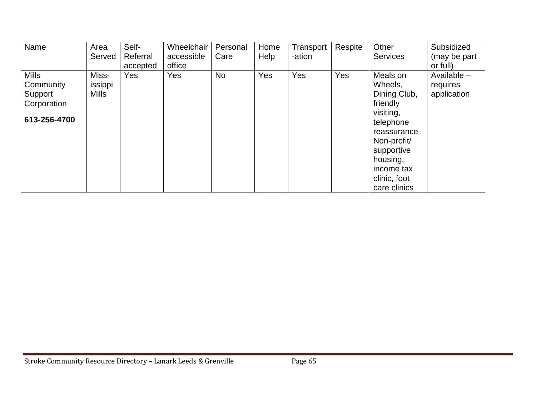| Name                                                                | Area<br>Served                   | Self-<br>Referral<br>accepted | Wheelchair<br>accessible<br>office | Personal<br>Care | Home<br>Help | Transport<br>-ation | Respite | Other<br><b>Services</b>                                                                                                                                                        | Subsidized<br>(may be part<br>or full)   |
|---------------------------------------------------------------------|----------------------------------|-------------------------------|------------------------------------|------------------|--------------|---------------------|---------|---------------------------------------------------------------------------------------------------------------------------------------------------------------------------------|------------------------------------------|
| <b>Mills</b><br>Community<br>Support<br>Corporation<br>613-256-4700 | Miss-<br>issippi<br><b>Mills</b> | Yes                           | Yes                                | <b>No</b>        | <b>Yes</b>   | Yes                 | Yes     | Meals on<br>Wheels,<br>Dining Club,<br>friendly<br>visiting,<br>telephone<br>reassurance<br>Non-profit/<br>supportive<br>housing,<br>income tax<br>clinic, foot<br>care clinics | Available $-$<br>requires<br>application |